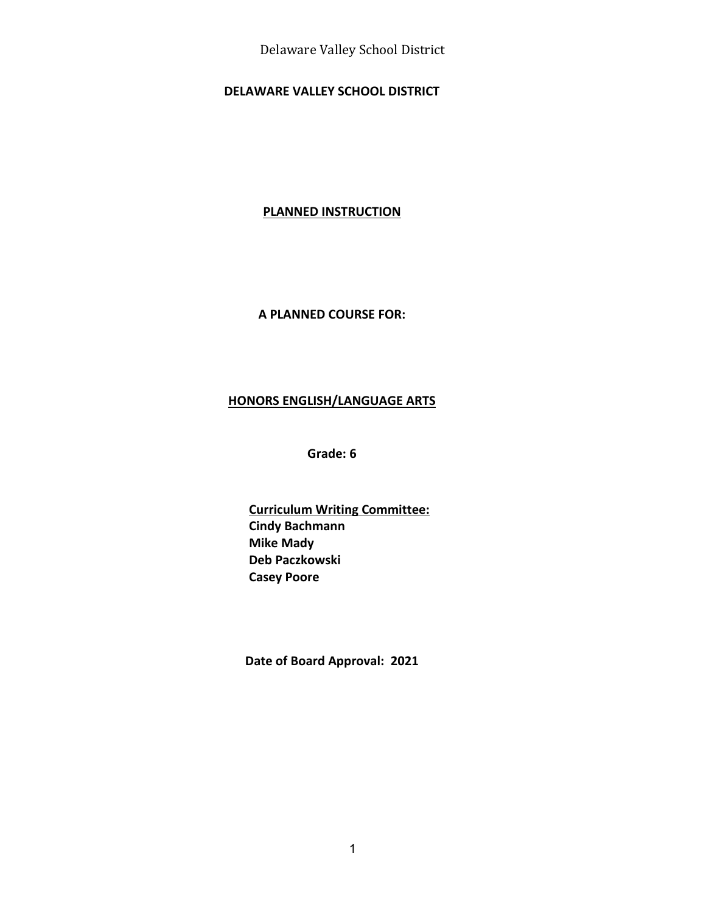Delaware Valley School District

#### **DELAWARE VALLEY SCHOOL DISTRICT**

#### **PLANNED INSTRUCTION**

#### **A PLANNED COURSE FOR:**

#### **HONORS ENGLISH/LANGUAGE ARTS**

**Grade: 6**

**Curriculum Writing Committee: Cindy Bachmann Mike Mady Deb Paczkowski Casey Poore**

**Date of Board Approval: 2021**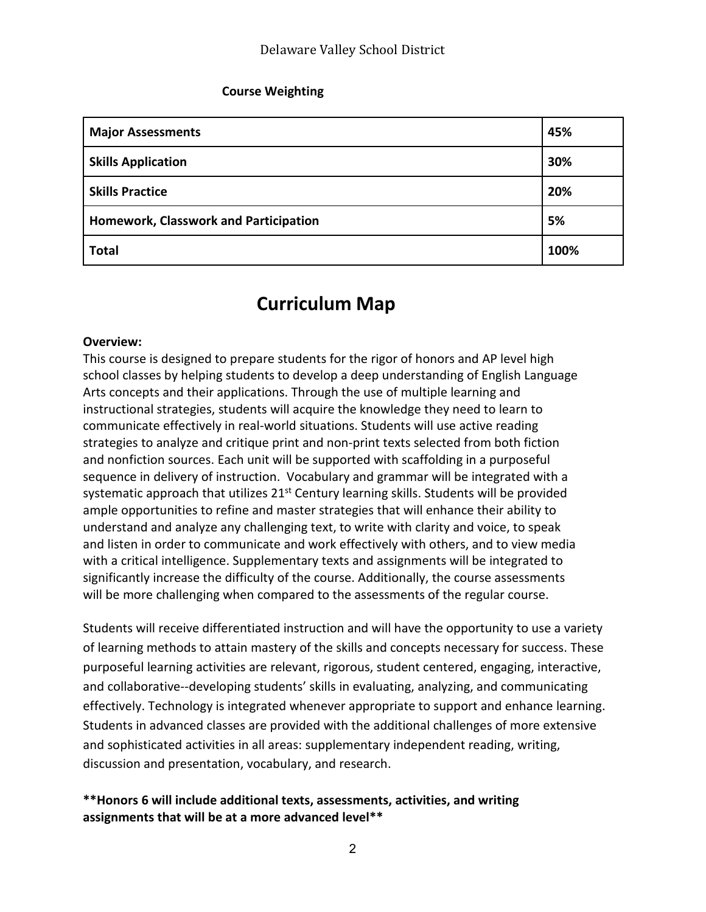#### **Course Weighting**

| <b>Major Assessments</b>              | 45%  |
|---------------------------------------|------|
| <b>Skills Application</b>             | 30%  |
| <b>Skills Practice</b>                | 20%  |
| Homework, Classwork and Participation | 5%   |
| <b>Total</b>                          | 100% |

# **Curriculum Map**

#### **Overview:**

This course is designed to prepare students for the rigor of honors and AP level high school classes by helping students to develop a deep understanding of English Language Arts concepts and their applications. Through the use of multiple learning and instructional strategies, students will acquire the knowledge they need to learn to communicate effectively in real-world situations. Students will use active reading strategies to analyze and critique print and non-print texts selected from both fiction and nonfiction sources. Each unit will be supported with scaffolding in a purposeful sequence in delivery of instruction. Vocabulary and grammar will be integrated with a systematic approach that utilizes  $21<sup>st</sup>$  Century learning skills. Students will be provided ample opportunities to refine and master strategies that will enhance their ability to understand and analyze any challenging text, to write with clarity and voice, to speak and listen in order to communicate and work effectively with others, and to view media with a critical intelligence. Supplementary texts and assignments will be integrated to significantly increase the difficulty of the course. Additionally, the course assessments will be more challenging when compared to the assessments of the regular course.

Students will receive differentiated instruction and will have the opportunity to use a variety of learning methods to attain mastery of the skills and concepts necessary for success. These purposeful learning activities are relevant, rigorous, student centered, engaging, interactive, and collaborative--developing students' skills in evaluating, analyzing, and communicating effectively. Technology is integrated whenever appropriate to support and enhance learning. Students in advanced classes are provided with the additional challenges of more extensive and sophisticated activities in all areas: supplementary independent reading, writing, discussion and presentation, vocabulary, and research.

#### **\*\*Honors 6 will include additional texts, assessments, activities, and writing assignments that will be at a more advanced level\*\***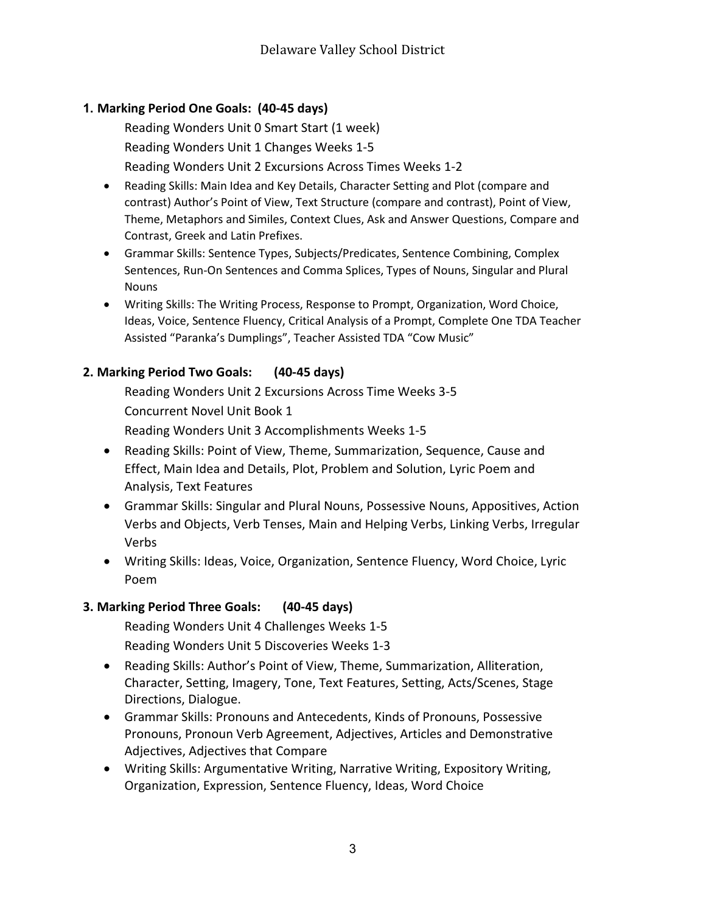## **1. Marking Period One Goals: (40-45 days)**

Reading Wonders Unit 0 Smart Start (1 week) Reading Wonders Unit 1 Changes Weeks 1-5 Reading Wonders Unit 2 Excursions Across Times Weeks 1-2

- Reading Skills: Main Idea and Key Details, Character Setting and Plot (compare and contrast) Author's Point of View, Text Structure (compare and contrast), Point of View, Theme, Metaphors and Similes, Context Clues, Ask and Answer Questions, Compare and Contrast, Greek and Latin Prefixes.
- Grammar Skills: Sentence Types, Subjects/Predicates, Sentence Combining, Complex Sentences, Run-On Sentences and Comma Splices, Types of Nouns, Singular and Plural Nouns
- Writing Skills: The Writing Process, Response to Prompt, Organization, Word Choice, Ideas, Voice, Sentence Fluency, Critical Analysis of a Prompt, Complete One TDA Teacher Assisted "Paranka's Dumplings", Teacher Assisted TDA "Cow Music"

## **2. Marking Period Two Goals: (40-45 days)**

Reading Wonders Unit 2 Excursions Across Time Weeks 3-5 Concurrent Novel Unit Book 1

Reading Wonders Unit 3 Accomplishments Weeks 1-5

- Reading Skills: Point of View, Theme, Summarization, Sequence, Cause and Effect, Main Idea and Details, Plot, Problem and Solution, Lyric Poem and Analysis, Text Features
- Grammar Skills: Singular and Plural Nouns, Possessive Nouns, Appositives, Action Verbs and Objects, Verb Tenses, Main and Helping Verbs, Linking Verbs, Irregular Verbs
- Writing Skills: Ideas, Voice, Organization, Sentence Fluency, Word Choice, Lyric Poem

## **3. Marking Period Three Goals: (40-45 days)**

Reading Wonders Unit 4 Challenges Weeks 1-5 Reading Wonders Unit 5 Discoveries Weeks 1-3

- Reading Skills: Author's Point of View, Theme, Summarization, Alliteration, Character, Setting, Imagery, Tone, Text Features, Setting, Acts/Scenes, Stage Directions, Dialogue.
- Grammar Skills: Pronouns and Antecedents, Kinds of Pronouns, Possessive Pronouns, Pronoun Verb Agreement, Adjectives, Articles and Demonstrative Adjectives, Adjectives that Compare
- Writing Skills: Argumentative Writing, Narrative Writing, Expository Writing, Organization, Expression, Sentence Fluency, Ideas, Word Choice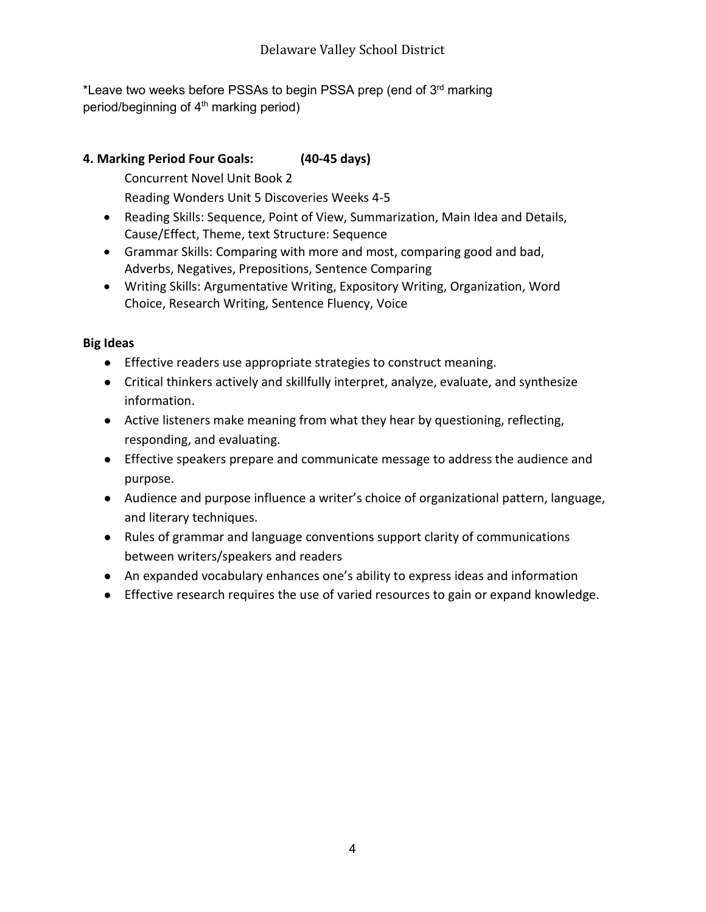\*Leave two weeks before PSSAs to begin PSSA prep (end of 3<sup>rd</sup> marking period/beginning of 4<sup>th</sup> marking period)

## **4. Marking Period Four Goals: (40-45 days)**

Concurrent Novel Unit Book 2

Reading Wonders Unit 5 Discoveries Weeks 4-5

- Reading Skills: Sequence, Point of View, Summarization, Main Idea and Details, Cause/Effect, Theme, text Structure: Sequence
- Grammar Skills: Comparing with more and most, comparing good and bad, Adverbs, Negatives, Prepositions, Sentence Comparing
- Writing Skills: Argumentative Writing, Expository Writing, Organization, Word Choice, Research Writing, Sentence Fluency, Voice

## **Big Ideas**

- Effective readers use appropriate strategies to construct meaning.
- Critical thinkers actively and skillfully interpret, analyze, evaluate, and synthesize information.
- Active listeners make meaning from what they hear by questioning, reflecting, responding, and evaluating.
- Effective speakers prepare and communicate message to address the audience and purpose.
- Audience and purpose influence a writer's choice of organizational pattern, language, and literary techniques.
- Rules of grammar and language conventions support clarity of communications between writers/speakers and readers
- An expanded vocabulary enhances one's ability to express ideas and information
- Effective research requires the use of varied resources to gain or expand knowledge.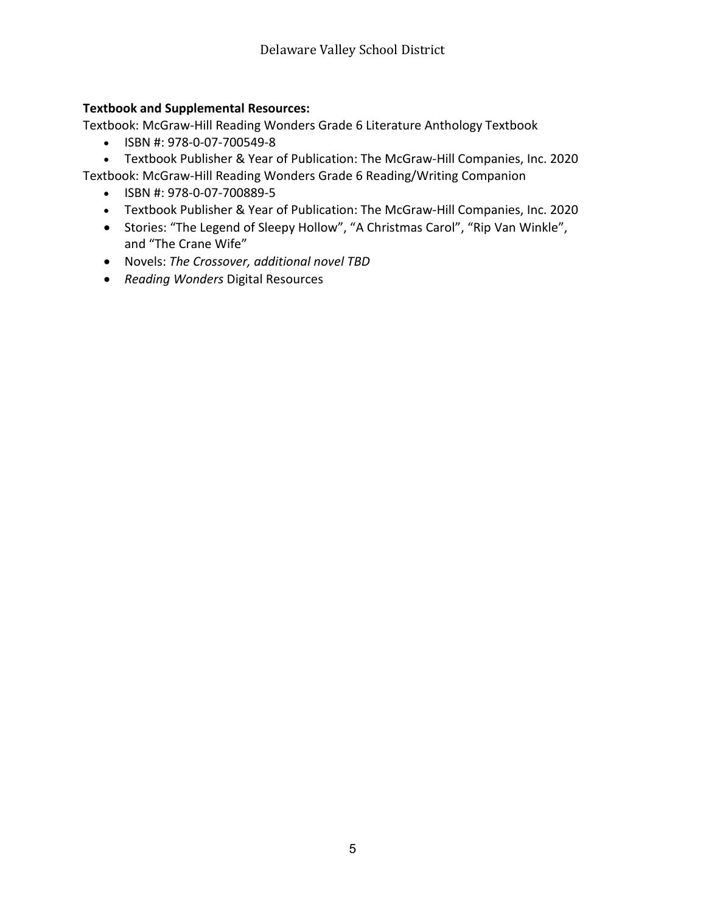#### **Textbook and Supplemental Resources:**

Textbook: McGraw-Hill Reading Wonders Grade 6 Literature Anthology Textbook

- ISBN #: 978-0-07-700549-8
- Textbook Publisher & Year of Publication: The McGraw-Hill Companies, Inc. 2020

Textbook: McGraw-Hill Reading Wonders Grade 6 Reading/Writing Companion

- ISBN #: 978-0-07-700889-5
- Textbook Publisher & Year of Publication: The McGraw-Hill Companies, Inc. 2020
- Stories: "The Legend of Sleepy Hollow", "A Christmas Carol", "Rip Van Winkle", and "The Crane Wife"
- Novels: *The Crossover, additional novel TBD*
- *Reading Wonders* Digital Resources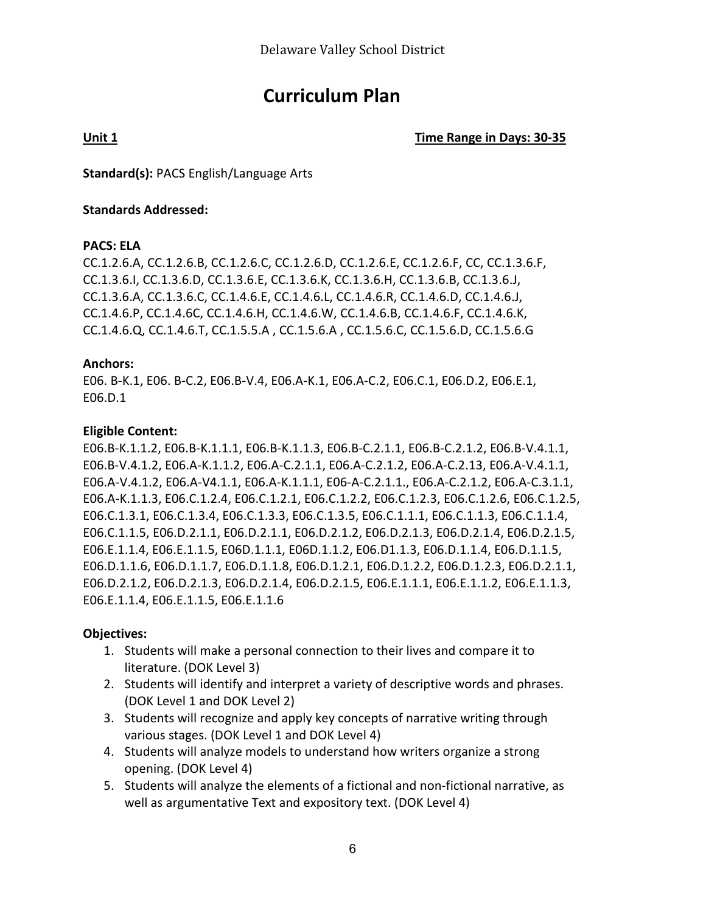# **Curriculum Plan**

**Unit 1 Time Range in Days: 30-35**

**Standard(s):** PACS English/Language Arts

#### **Standards Addressed:**

#### **PACS: ELA**

CC.1.2.6.A, CC.1.2.6.B, CC.1.2.6.C, CC.1.2.6.D, CC.1.2.6.E, CC.1.2.6.F, CC, CC.1.3.6.F, CC.1.3.6.I, CC.1.3.6.D, CC.1.3.6.E, CC.1.3.6.K, CC.1.3.6.H, CC.1.3.6.B, CC.1.3.6.J, CC.1.3.6.A, CC.1.3.6.C, CC.1.4.6.E, CC.1.4.6.L, CC.1.4.6.R, CC.1.4.6.D, CC.1.4.6.J, CC.1.4.6.P, CC.1.4.6C, CC.1.4.6.H, CC.1.4.6.W, CC.1.4.6.B, CC.1.4.6.F, CC.1.4.6.K, CC.1.4.6.Q, CC.1.4.6.T, CC.1.5.5.A , CC.1.5.6.A , CC.1.5.6.C, CC.1.5.6.D, CC.1.5.6.G

#### **Anchors:**

E06. B-K.1, E06. B-C.2, E06.B-V.4, E06.A-K.1, E06.A-C.2, E06.C.1, E06.D.2, E06.E.1, E06.D.1

#### **Eligible Content:**

E06.B-K.1.1.2, E06.B-K.1.1.1, E06.B-K.1.1.3, E06.B-C.2.1.1, E06.B-C.2.1.2, E06.B-V.4.1.1, E06.B-V.4.1.2, E06.A-K.1.1.2, E06.A-C.2.1.1, E06.A-C.2.1.2, E06.A-C.2.13, E06.A-V.4.1.1, E06.A-V.4.1.2, E06.A-V4.1.1, E06.A-K.1.1.1, E06-A-C.2.1.1., E06.A-C.2.1.2, E06.A-C.3.1.1, E06.A-K.1.1.3, E06.C.1.2.4, E06.C.1.2.1, E06.C.1.2.2, E06.C.1.2.3, E06.C.1.2.6, E06.C.1.2.5, E06.C.1.3.1, E06.C.1.3.4, E06.C.1.3.3, E06.C.1.3.5, E06.C.1.1.1, E06.C.1.1.3, E06.C.1.1.4, E06.C.1.1.5, E06.D.2.1.1, E06.D.2.1.1, E06.D.2.1.2, E06.D.2.1.3, E06.D.2.1.4, E06.D.2.1.5, E06.E.1.1.4, E06.E.1.1.5, E06D.1.1.1, E06D.1.1.2, E06.D1.1.3, E06.D.1.1.4, E06.D.1.1.5, E06.D.1.1.6, E06.D.1.1.7, E06.D.1.1.8, E06.D.1.2.1, E06.D.1.2.2, E06.D.1.2.3, E06.D.2.1.1, E06.D.2.1.2, E06.D.2.1.3, E06.D.2.1.4, E06.D.2.1.5, E06.E.1.1.1, E06.E.1.1.2, E06.E.1.1.3, E06.E.1.1.4, E06.E.1.1.5, E06.E.1.1.6

#### **Objectives:**

- 1. Students will make a personal connection to their lives and compare it to literature. (DOK Level 3)
- 2. Students will identify and interpret a variety of descriptive words and phrases. (DOK Level 1 and DOK Level 2)
- 3. Students will recognize and apply key concepts of narrative writing through various stages. (DOK Level 1 and DOK Level 4)
- 4. Students will analyze models to understand how writers organize a strong opening. (DOK Level 4)
- 5. Students will analyze the elements of a fictional and non-fictional narrative, as well as argumentative Text and expository text. (DOK Level 4)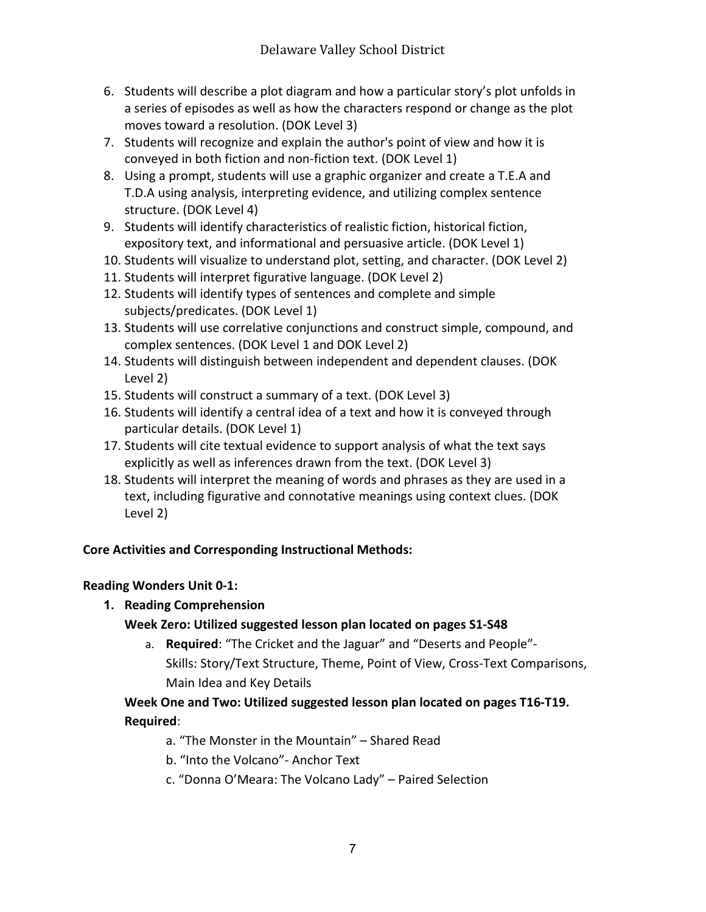- 6. Students will describe a plot diagram and how a particular story's plot unfolds in a series of episodes as well as how the characters respond or change as the plot moves toward a resolution. (DOK Level 3)
- 7. Students will recognize and explain the author's point of view and how it is conveyed in both fiction and non-fiction text. (DOK Level 1)
- 8. Using a prompt, students will use a graphic organizer and create a T.E.A and T.D.A using analysis, interpreting evidence, and utilizing complex sentence structure. (DOK Level 4)
- 9. Students will identify characteristics of realistic fiction, historical fiction, expository text, and informational and persuasive article. (DOK Level 1)
- 10. Students will visualize to understand plot, setting, and character. (DOK Level 2)
- 11. Students will interpret figurative language. (DOK Level 2)
- 12. Students will identify types of sentences and complete and simple subjects/predicates. (DOK Level 1)
- 13. Students will use correlative conjunctions and construct simple, compound, and complex sentences. (DOK Level 1 and DOK Level 2)
- 14. Students will distinguish between independent and dependent clauses. (DOK Level 2)
- 15. Students will construct a summary of a text. (DOK Level 3)
- 16. Students will identify a central idea of a text and how it is conveyed through particular details. (DOK Level 1)
- 17. Students will cite textual evidence to support analysis of what the text says explicitly as well as inferences drawn from the text. (DOK Level 3)
- 18. Students will interpret the meaning of words and phrases as they are used in a text, including figurative and connotative meanings using context clues. (DOK Level 2)

## **Core Activities and Corresponding Instructional Methods:**

## **Reading Wonders Unit 0-1:**

**1. Reading Comprehension**

## **Week Zero: Utilized suggested lesson plan located on pages S1-S48**

a. **Required**: "The Cricket and the Jaguar" and "Deserts and People"- Skills: Story/Text Structure, Theme, Point of View, Cross-Text Comparisons, Main Idea and Key Details

## **Week One and Two: Utilized suggested lesson plan located on pages T16-T19. Required**:

- a. "The Monster in the Mountain" Shared Read
- b. "Into the Volcano"- Anchor Text
- c. "Donna O'Meara: The Volcano Lady" Paired Selection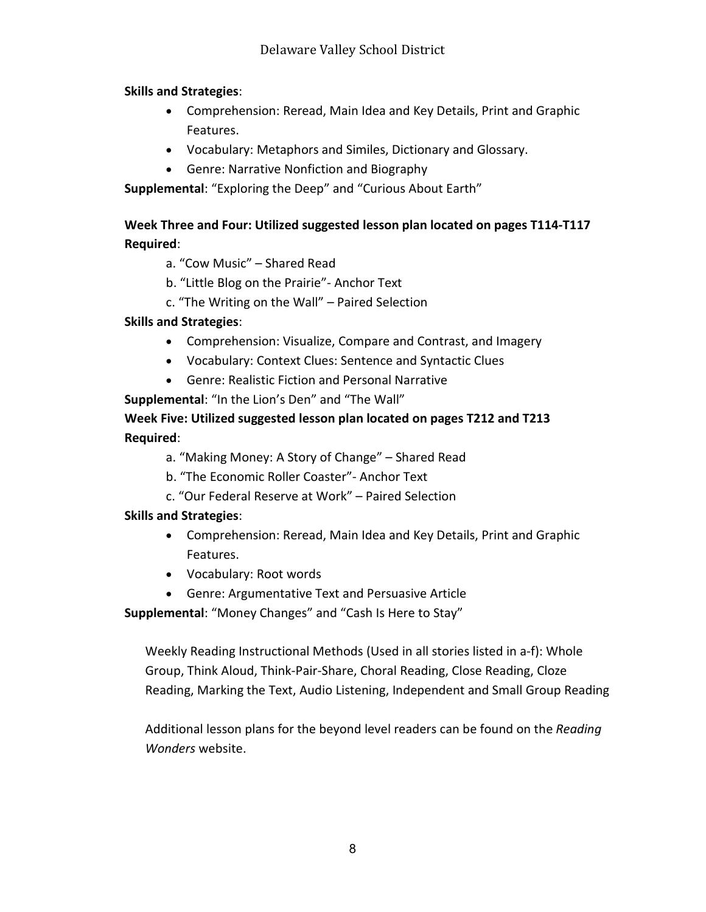#### **Skills and Strategies**:

- Comprehension: Reread, Main Idea and Key Details, Print and Graphic Features.
- Vocabulary: Metaphors and Similes, Dictionary and Glossary.
- Genre: Narrative Nonfiction and Biography

**Supplemental**: "Exploring the Deep" and "Curious About Earth"

## **Week Three and Four: Utilized suggested lesson plan located on pages T114-T117 Required**:

- a. "Cow Music" Shared Read
- b. "Little Blog on the Prairie"- Anchor Text
- c. "The Writing on the Wall" Paired Selection

## **Skills and Strategies**:

- Comprehension: Visualize, Compare and Contrast, and Imagery
- Vocabulary: Context Clues: Sentence and Syntactic Clues
- Genre: Realistic Fiction and Personal Narrative

**Supplemental**: "In the Lion's Den" and "The Wall"

**Week Five: Utilized suggested lesson plan located on pages T212 and T213 Required**:

- a. "Making Money: A Story of Change" Shared Read
- b. "The Economic Roller Coaster"- Anchor Text
- c. "Our Federal Reserve at Work" Paired Selection

## **Skills and Strategies**:

- Comprehension: Reread, Main Idea and Key Details, Print and Graphic Features.
- Vocabulary: Root words
- Genre: Argumentative Text and Persuasive Article

**Supplemental**: "Money Changes" and "Cash Is Here to Stay"

Weekly Reading Instructional Methods (Used in all stories listed in a-f): Whole Group, Think Aloud, Think-Pair-Share, Choral Reading, Close Reading, Cloze Reading, Marking the Text, Audio Listening, Independent and Small Group Reading

Additional lesson plans for the beyond level readers can be found on the *Reading Wonders* website.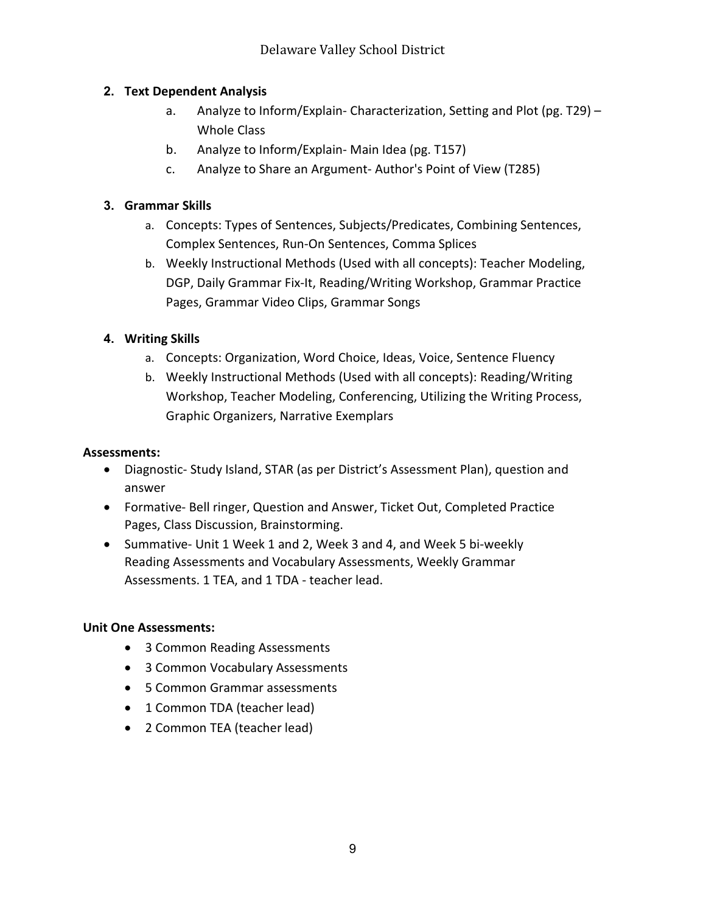## **2. Text Dependent Analysis**

- a. Analyze to Inform/Explain- Characterization, Setting and Plot (pg. T29) Whole Class
- b. Analyze to Inform/Explain- Main Idea (pg. T157)
- c. Analyze to Share an Argument- Author's Point of View (T285)

## **3. Grammar Skills**

- a. Concepts: Types of Sentences, Subjects/Predicates, Combining Sentences, Complex Sentences, Run-On Sentences, Comma Splices
- b. Weekly Instructional Methods (Used with all concepts): Teacher Modeling, DGP, Daily Grammar Fix-It, Reading/Writing Workshop, Grammar Practice Pages, Grammar Video Clips, Grammar Songs

## **4. Writing Skills**

- a. Concepts: Organization, Word Choice, Ideas, Voice, Sentence Fluency
- b. Weekly Instructional Methods (Used with all concepts): Reading/Writing Workshop, Teacher Modeling, Conferencing, Utilizing the Writing Process, Graphic Organizers, Narrative Exemplars

## **Assessments:**

- Diagnostic- Study Island, STAR (as per District's Assessment Plan), question and answer
- Formative- Bell ringer, Question and Answer, Ticket Out, Completed Practice Pages, Class Discussion, Brainstorming.
- Summative- Unit 1 Week 1 and 2, Week 3 and 4, and Week 5 bi-weekly Reading Assessments and Vocabulary Assessments, Weekly Grammar Assessments. 1 TEA, and 1 TDA - teacher lead.

## **Unit One Assessments:**

- 3 Common Reading Assessments
- 3 Common Vocabulary Assessments
- 5 Common Grammar assessments
- 1 Common TDA (teacher lead)
- 2 Common TEA (teacher lead)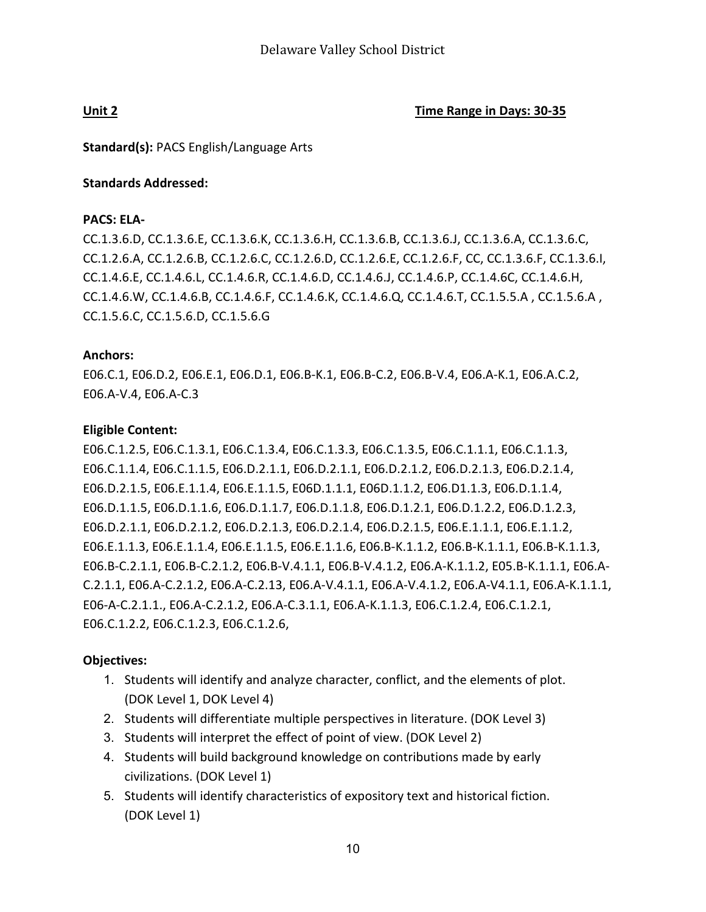**Unit 2 Time Range in Days: 30-35**

**Standard(s):** PACS English/Language Arts

#### **Standards Addressed:**

#### **PACS: ELA-**

CC.1.3.6.D, CC.1.3.6.E, CC.1.3.6.K, CC.1.3.6.H, CC.1.3.6.B, CC.1.3.6.J, CC.1.3.6.A, CC.1.3.6.C, CC.1.2.6.A, CC.1.2.6.B, CC.1.2.6.C, CC.1.2.6.D, CC.1.2.6.E, CC.1.2.6.F, CC, CC.1.3.6.F, CC.1.3.6.I, CC.1.4.6.E, CC.1.4.6.L, CC.1.4.6.R, CC.1.4.6.D, CC.1.4.6.J, CC.1.4.6.P, CC.1.4.6C, CC.1.4.6.H, CC.1.4.6.W, CC.1.4.6.B, CC.1.4.6.F, CC.1.4.6.K, CC.1.4.6.Q, CC.1.4.6.T, CC.1.5.5.A , CC.1.5.6.A , CC.1.5.6.C, CC.1.5.6.D, CC.1.5.6.G

#### **Anchors:**

E06.C.1, E06.D.2, E06.E.1, E06.D.1, E06.B-K.1, E06.B-C.2, E06.B-V.4, E06.A-K.1, E06.A.C.2, E06.A-V.4, E06.A-C.3

#### **Eligible Content:**

E06.C.1.2.5, E06.C.1.3.1, E06.C.1.3.4, E06.C.1.3.3, E06.C.1.3.5, E06.C.1.1.1, E06.C.1.1.3, E06.C.1.1.4, E06.C.1.1.5, E06.D.2.1.1, E06.D.2.1.1, E06.D.2.1.2, E06.D.2.1.3, E06.D.2.1.4, E06.D.2.1.5, E06.E.1.1.4, E06.E.1.1.5, E06D.1.1.1, E06D.1.1.2, E06.D1.1.3, E06.D.1.1.4, E06.D.1.1.5, E06.D.1.1.6, E06.D.1.1.7, E06.D.1.1.8, E06.D.1.2.1, E06.D.1.2.2, E06.D.1.2.3, E06.D.2.1.1, E06.D.2.1.2, E06.D.2.1.3, E06.D.2.1.4, E06.D.2.1.5, E06.E.1.1.1, E06.E.1.1.2, E06.E.1.1.3, E06.E.1.1.4, E06.E.1.1.5, E06.E.1.1.6, E06.B-K.1.1.2, E06.B-K.1.1.1, E06.B-K.1.1.3, E06.B-C.2.1.1, E06.B-C.2.1.2, E06.B-V.4.1.1, E06.B-V.4.1.2, E06.A-K.1.1.2, E05.B-K.1.1.1, E06.A-C.2.1.1, E06.A-C.2.1.2, E06.A-C.2.13, E06.A-V.4.1.1, E06.A-V.4.1.2, E06.A-V4.1.1, E06.A-K.1.1.1, E06-A-C.2.1.1., E06.A-C.2.1.2, E06.A-C.3.1.1, E06.A-K.1.1.3, E06.C.1.2.4, E06.C.1.2.1, E06.C.1.2.2, E06.C.1.2.3, E06.C.1.2.6,

#### **Objectives:**

- 1. Students will identify and analyze character, conflict, and the elements of plot. (DOK Level 1, DOK Level 4)
- 2. Students will differentiate multiple perspectives in literature. (DOK Level 3)
- 3. Students will interpret the effect of point of view. (DOK Level 2)
- 4. Students will build background knowledge on contributions made by early civilizations. (DOK Level 1)
- 5. Students will identify characteristics of expository text and historical fiction. (DOK Level 1)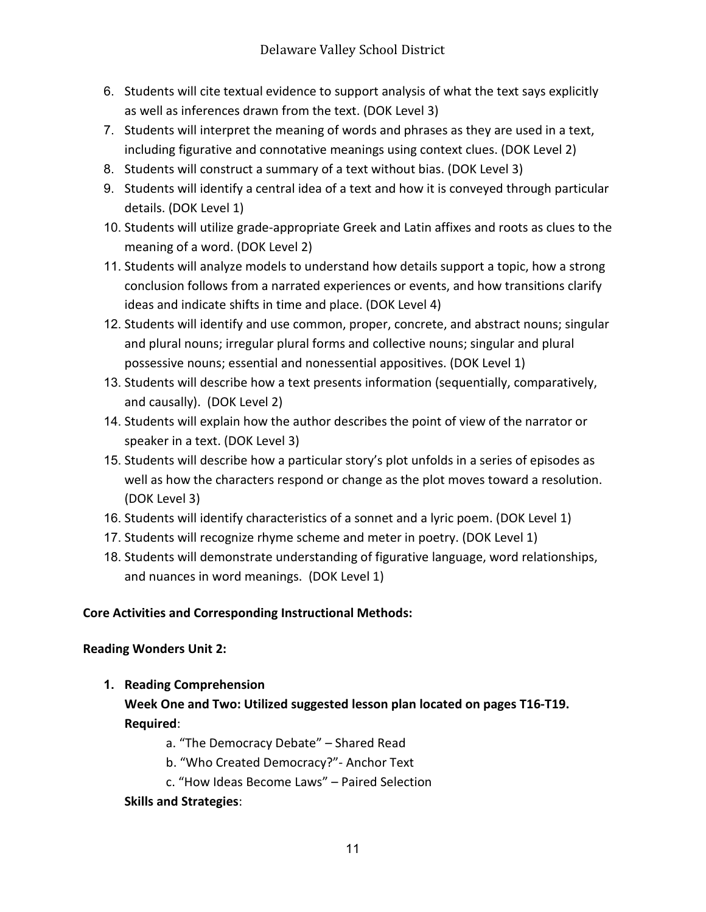- 6. Students will cite textual evidence to support analysis of what the text says explicitly as well as inferences drawn from the text. (DOK Level 3)
- 7. Students will interpret the meaning of words and phrases as they are used in a text, including figurative and connotative meanings using context clues. (DOK Level 2)
- 8. Students will construct a summary of a text without bias. (DOK Level 3)
- 9. Students will identify a central idea of a text and how it is conveyed through particular details. (DOK Level 1)
- 10. Students will utilize grade-appropriate Greek and Latin affixes and roots as clues to the meaning of a word. (DOK Level 2)
- 11. Students will analyze models to understand how details support a topic, how a strong conclusion follows from a narrated experiences or events, and how transitions clarify ideas and indicate shifts in time and place. (DOK Level 4)
- 12. Students will identify and use common, proper, concrete, and abstract nouns; singular and plural nouns; irregular plural forms and collective nouns; singular and plural possessive nouns; essential and nonessential appositives. (DOK Level 1)
- 13. Students will describe how a text presents information (sequentially, comparatively, and causally). (DOK Level 2)
- 14. Students will explain how the author describes the point of view of the narrator or speaker in a text. (DOK Level 3)
- 15. Students will describe how a particular story's plot unfolds in a series of episodes as well as how the characters respond or change as the plot moves toward a resolution. (DOK Level 3)
- 16. Students will identify characteristics of a sonnet and a lyric poem. (DOK Level 1)
- 17. Students will recognize rhyme scheme and meter in poetry. (DOK Level 1)
- 18. Students will demonstrate understanding of figurative language, word relationships, and nuances in word meanings. (DOK Level 1)

## **Core Activities and Corresponding Instructional Methods:**

## **Reading Wonders Unit 2:**

**1. Reading Comprehension**

**Week One and Two: Utilized suggested lesson plan located on pages T16-T19. Required**:

a. "The Democracy Debate" – Shared Read

- b. "Who Created Democracy?"- Anchor Text
- c. "How Ideas Become Laws" Paired Selection

## **Skills and Strategies**: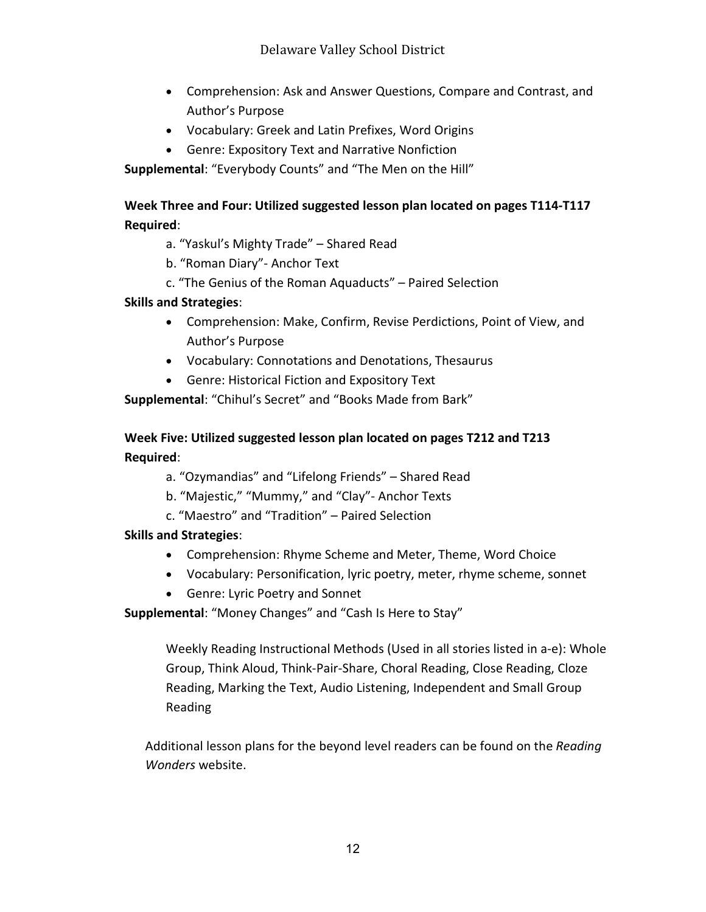- Comprehension: Ask and Answer Questions, Compare and Contrast, and Author's Purpose
- Vocabulary: Greek and Latin Prefixes, Word Origins
- Genre: Expository Text and Narrative Nonfiction

**Supplemental**: "Everybody Counts" and "The Men on the Hill"

## **Week Three and Four: Utilized suggested lesson plan located on pages T114-T117 Required**:

a. "Yaskul's Mighty Trade" – Shared Read

- b. "Roman Diary"- Anchor Text
- c. "The Genius of the Roman Aquaducts" Paired Selection

#### **Skills and Strategies**:

- Comprehension: Make, Confirm, Revise Perdictions, Point of View, and Author's Purpose
- Vocabulary: Connotations and Denotations, Thesaurus
- Genre: Historical Fiction and Expository Text

**Supplemental**: "Chihul's Secret" and "Books Made from Bark"

## **Week Five: Utilized suggested lesson plan located on pages T212 and T213 Required**:

- a. "Ozymandias" and "Lifelong Friends" Shared Read
- b. "Majestic," "Mummy," and "Clay"- Anchor Texts
- c. "Maestro" and "Tradition" Paired Selection

## **Skills and Strategies**:

- Comprehension: Rhyme Scheme and Meter, Theme, Word Choice
- Vocabulary: Personification, lyric poetry, meter, rhyme scheme, sonnet
- Genre: Lyric Poetry and Sonnet
- **Supplemental**: "Money Changes" and "Cash Is Here to Stay"

Weekly Reading Instructional Methods (Used in all stories listed in a-e): Whole Group, Think Aloud, Think-Pair-Share, Choral Reading, Close Reading, Cloze Reading, Marking the Text, Audio Listening, Independent and Small Group Reading

Additional lesson plans for the beyond level readers can be found on the *Reading Wonders* website.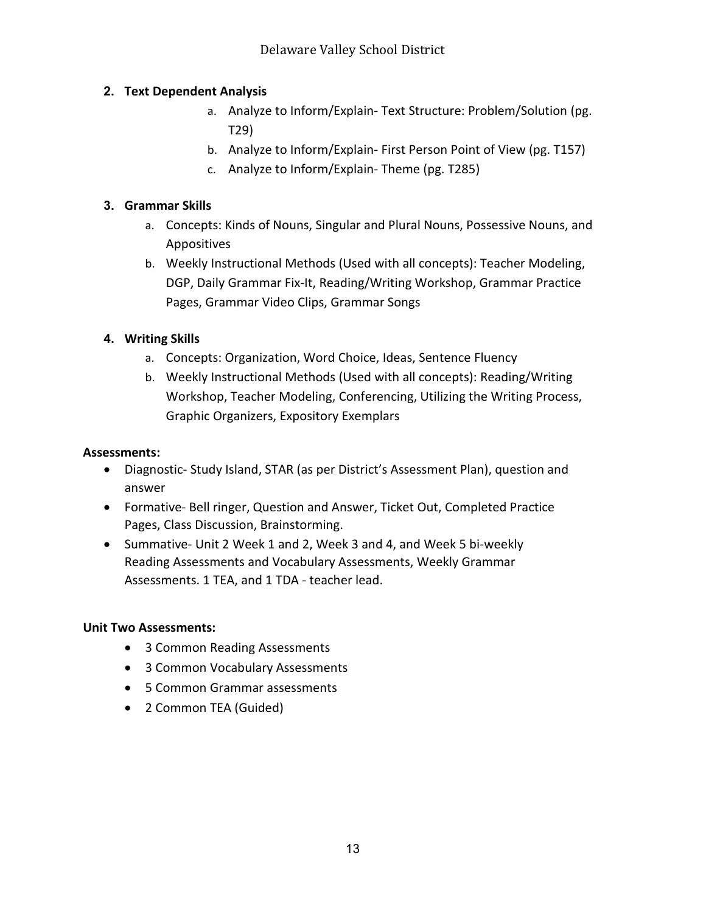## **2. Text Dependent Analysis**

- a. Analyze to Inform/Explain- Text Structure: Problem/Solution (pg. T29)
- b. Analyze to Inform/Explain- First Person Point of View (pg. T157)
- c. Analyze to Inform/Explain- Theme (pg. T285)

## **3. Grammar Skills**

- a. Concepts: Kinds of Nouns, Singular and Plural Nouns, Possessive Nouns, and Appositives
- b. Weekly Instructional Methods (Used with all concepts): Teacher Modeling, DGP, Daily Grammar Fix-It, Reading/Writing Workshop, Grammar Practice Pages, Grammar Video Clips, Grammar Songs

## **4. Writing Skills**

- a. Concepts: Organization, Word Choice, Ideas, Sentence Fluency
- b. Weekly Instructional Methods (Used with all concepts): Reading/Writing Workshop, Teacher Modeling, Conferencing, Utilizing the Writing Process, Graphic Organizers, Expository Exemplars

## **Assessments:**

- Diagnostic- Study Island, STAR (as per District's Assessment Plan), question and answer
- Formative- Bell ringer, Question and Answer, Ticket Out, Completed Practice Pages, Class Discussion, Brainstorming.
- Summative- Unit 2 Week 1 and 2, Week 3 and 4, and Week 5 bi-weekly Reading Assessments and Vocabulary Assessments, Weekly Grammar Assessments. 1 TEA, and 1 TDA - teacher lead.

#### **Unit Two Assessments:**

- 3 Common Reading Assessments
- 3 Common Vocabulary Assessments
- 5 Common Grammar assessments
- 2 Common TEA (Guided)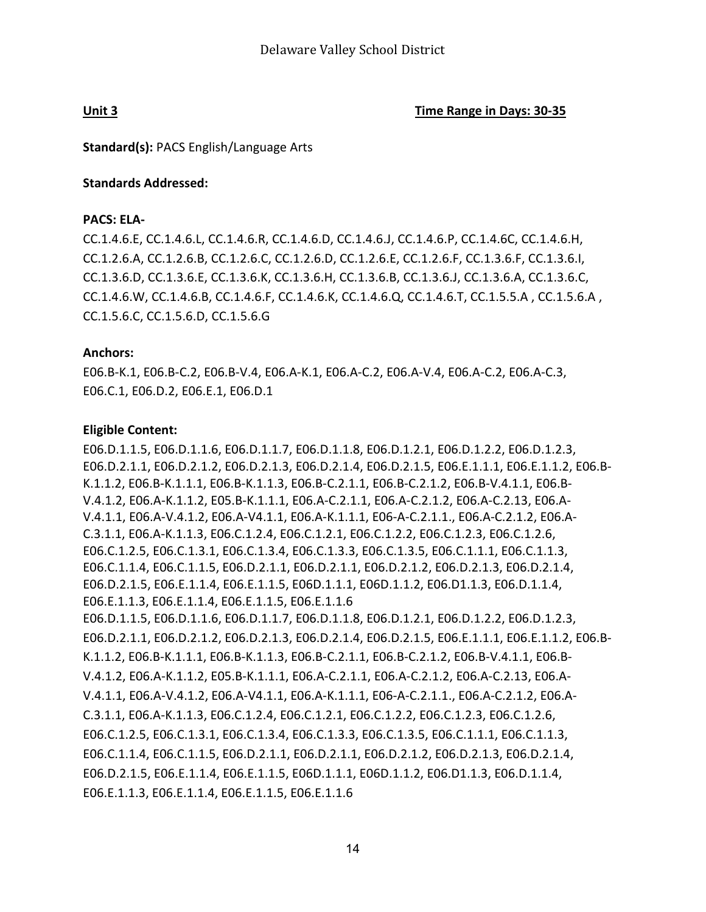**Unit 3 Time Range in Days: 30-35**

**Standard(s):** PACS English/Language Arts

#### **Standards Addressed:**

#### **PACS: ELA-**

CC.1.4.6.E, CC.1.4.6.L, CC.1.4.6.R, CC.1.4.6.D, CC.1.4.6.J, CC.1.4.6.P, CC.1.4.6C, CC.1.4.6.H, CC.1.2.6.A, CC.1.2.6.B, CC.1.2.6.C, CC.1.2.6.D, CC.1.2.6.E, CC.1.2.6.F, CC.1.3.6.F, CC.1.3.6.I, CC.1.3.6.D, CC.1.3.6.E, CC.1.3.6.K, CC.1.3.6.H, CC.1.3.6.B, CC.1.3.6.J, CC.1.3.6.A, CC.1.3.6.C, CC.1.4.6.W, CC.1.4.6.B, CC.1.4.6.F, CC.1.4.6.K, CC.1.4.6.Q, CC.1.4.6.T, CC.1.5.5.A , CC.1.5.6.A , CC.1.5.6.C, CC.1.5.6.D, CC.1.5.6.G

#### **Anchors:**

E06.B-K.1, E06.B-C.2, E06.B-V.4, E06.A-K.1, E06.A-C.2, E06.A-V.4, E06.A-C.2, E06.A-C.3, E06.C.1, E06.D.2, E06.E.1, E06.D.1

#### **Eligible Content:**

E06.D.1.1.5, E06.D.1.1.6, E06.D.1.1.7, E06.D.1.1.8, E06.D.1.2.1, E06.D.1.2.2, E06.D.1.2.3, E06.D.2.1.1, E06.D.2.1.2, E06.D.2.1.3, E06.D.2.1.4, E06.D.2.1.5, E06.E.1.1.1, E06.E.1.1.2, E06.B-K.1.1.2, E06.B-K.1.1.1, E06.B-K.1.1.3, E06.B-C.2.1.1, E06.B-C.2.1.2, E06.B-V.4.1.1, E06.B-V.4.1.2, E06.A-K.1.1.2, E05.B-K.1.1.1, E06.A-C.2.1.1, E06.A-C.2.1.2, E06.A-C.2.13, E06.A-V.4.1.1, E06.A-V.4.1.2, E06.A-V4.1.1, E06.A-K.1.1.1, E06-A-C.2.1.1., E06.A-C.2.1.2, E06.A-C.3.1.1, E06.A-K.1.1.3, E06.C.1.2.4, E06.C.1.2.1, E06.C.1.2.2, E06.C.1.2.3, E06.C.1.2.6, E06.C.1.2.5, E06.C.1.3.1, E06.C.1.3.4, E06.C.1.3.3, E06.C.1.3.5, E06.C.1.1.1, E06.C.1.1.3, E06.C.1.1.4, E06.C.1.1.5, E06.D.2.1.1, E06.D.2.1.1, E06.D.2.1.2, E06.D.2.1.3, E06.D.2.1.4, E06.D.2.1.5, E06.E.1.1.4, E06.E.1.1.5, E06D.1.1.1, E06D.1.1.2, E06.D1.1.3, E06.D.1.1.4, E06.E.1.1.3, E06.E.1.1.4, E06.E.1.1.5, E06.E.1.1.6 E06.D.1.1.5, E06.D.1.1.6, E06.D.1.1.7, E06.D.1.1.8, E06.D.1.2.1, E06.D.1.2.2, E06.D.1.2.3, E06.D.2.1.1, E06.D.2.1.2, E06.D.2.1.3, E06.D.2.1.4, E06.D.2.1.5, E06.E.1.1.1, E06.E.1.1.2, E06.B-K.1.1.2, E06.B-K.1.1.1, E06.B-K.1.1.3, E06.B-C.2.1.1, E06.B-C.2.1.2, E06.B-V.4.1.1, E06.B-V.4.1.2, E06.A-K.1.1.2, E05.B-K.1.1.1, E06.A-C.2.1.1, E06.A-C.2.1.2, E06.A-C.2.13, E06.A-V.4.1.1, E06.A-V.4.1.2, E06.A-V4.1.1, E06.A-K.1.1.1, E06-A-C.2.1.1., E06.A-C.2.1.2, E06.A-C.3.1.1, E06.A-K.1.1.3, E06.C.1.2.4, E06.C.1.2.1, E06.C.1.2.2, E06.C.1.2.3, E06.C.1.2.6, E06.C.1.2.5, E06.C.1.3.1, E06.C.1.3.4, E06.C.1.3.3, E06.C.1.3.5, E06.C.1.1.1, E06.C.1.1.3, E06.C.1.1.4, E06.C.1.1.5, E06.D.2.1.1, E06.D.2.1.1, E06.D.2.1.2, E06.D.2.1.3, E06.D.2.1.4, E06.D.2.1.5, E06.E.1.1.4, E06.E.1.1.5, E06D.1.1.1, E06D.1.1.2, E06.D1.1.3, E06.D.1.1.4, E06.E.1.1.3, E06.E.1.1.4, E06.E.1.1.5, E06.E.1.1.6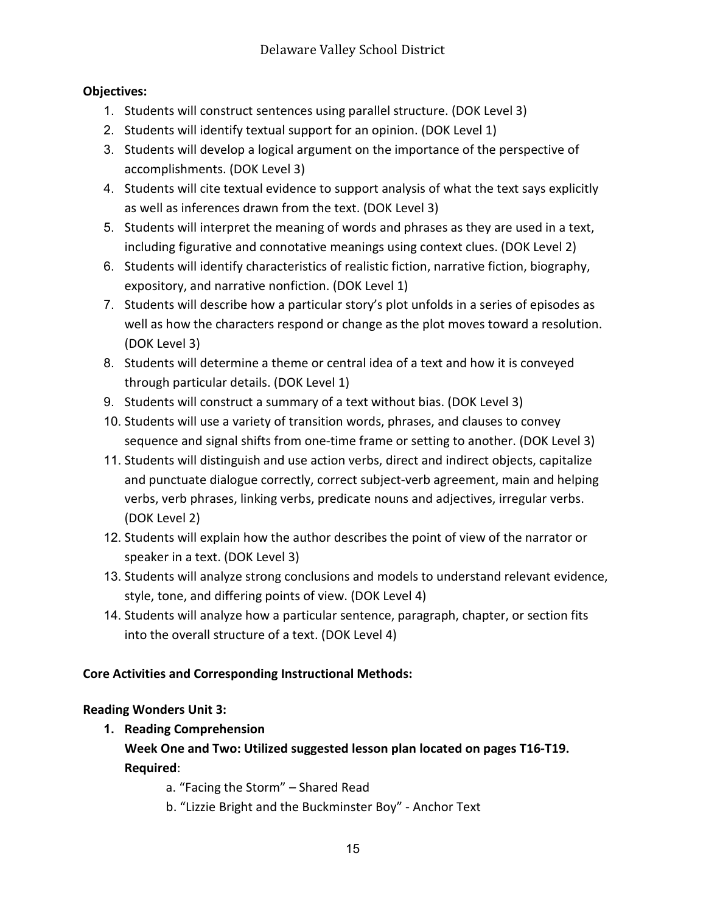## **Objectives:**

- 1. Students will construct sentences using parallel structure. (DOK Level 3)
- 2. Students will identify textual support for an opinion. (DOK Level 1)
- 3. Students will develop a logical argument on the importance of the perspective of accomplishments. (DOK Level 3)
- 4. Students will cite textual evidence to support analysis of what the text says explicitly as well as inferences drawn from the text. (DOK Level 3)
- 5. Students will interpret the meaning of words and phrases as they are used in a text, including figurative and connotative meanings using context clues. (DOK Level 2)
- 6. Students will identify characteristics of realistic fiction, narrative fiction, biography, expository, and narrative nonfiction. (DOK Level 1)
- 7. Students will describe how a particular story's plot unfolds in a series of episodes as well as how the characters respond or change as the plot moves toward a resolution. (DOK Level 3)
- 8. Students will determine a theme or central idea of a text and how it is conveyed through particular details. (DOK Level 1)
- 9. Students will construct a summary of a text without bias. (DOK Level 3)
- 10. Students will use a variety of transition words, phrases, and clauses to convey sequence and signal shifts from one-time frame or setting to another. (DOK Level 3)
- 11. Students will distinguish and use action verbs, direct and indirect objects, capitalize and punctuate dialogue correctly, correct subject-verb agreement, main and helping verbs, verb phrases, linking verbs, predicate nouns and adjectives, irregular verbs. (DOK Level 2)
- 12. Students will explain how the author describes the point of view of the narrator or speaker in a text. (DOK Level 3)
- 13. Students will analyze strong conclusions and models to understand relevant evidence, style, tone, and differing points of view. (DOK Level 4)
- 14. Students will analyze how a particular sentence, paragraph, chapter, or section fits into the overall structure of a text. (DOK Level 4)

## **Core Activities and Corresponding Instructional Methods:**

## **Reading Wonders Unit 3:**

**1. Reading Comprehension**

**Week One and Two: Utilized suggested lesson plan located on pages T16-T19. Required**:

a. "Facing the Storm" – Shared Read

b. "Lizzie Bright and the Buckminster Boy" - Anchor Text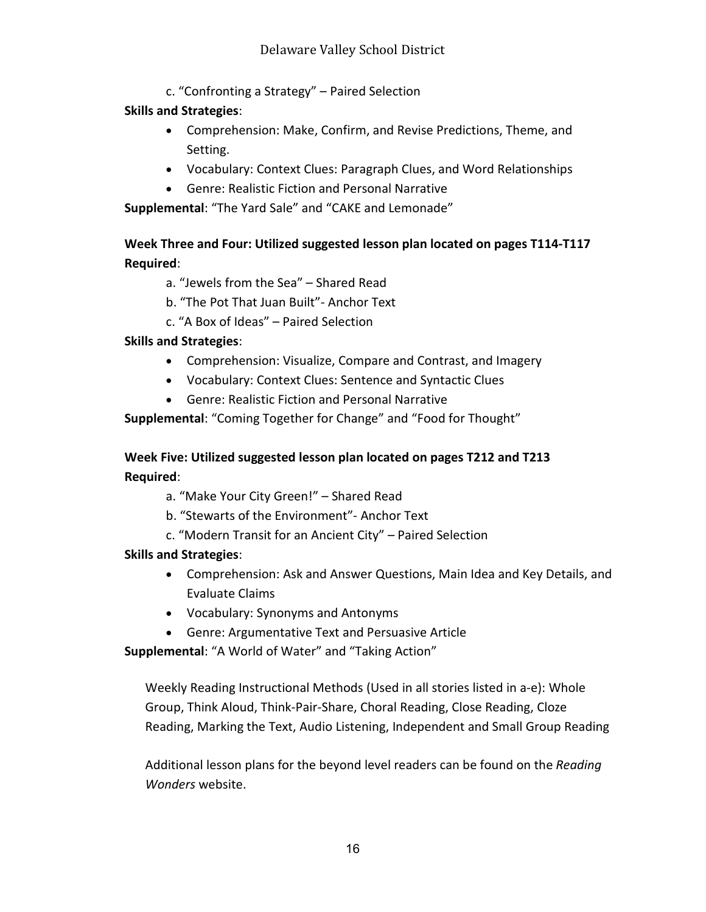c. "Confronting a Strategy" – Paired Selection

#### **Skills and Strategies**:

- Comprehension: Make, Confirm, and Revise Predictions, Theme, and Setting.
- Vocabulary: Context Clues: Paragraph Clues, and Word Relationships
- Genre: Realistic Fiction and Personal Narrative

**Supplemental**: "The Yard Sale" and "CAKE and Lemonade"

## **Week Three and Four: Utilized suggested lesson plan located on pages T114-T117 Required**:

- a. "Jewels from the Sea" Shared Read
- b. "The Pot That Juan Built"- Anchor Text
- c. "A Box of Ideas" Paired Selection

#### **Skills and Strategies**:

- Comprehension: Visualize, Compare and Contrast, and Imagery
- Vocabulary: Context Clues: Sentence and Syntactic Clues
- Genre: Realistic Fiction and Personal Narrative

**Supplemental**: "Coming Together for Change" and "Food for Thought"

## **Week Five: Utilized suggested lesson plan located on pages T212 and T213 Required**:

a. "Make Your City Green!" – Shared Read

- b. "Stewarts of the Environment"- Anchor Text
- c. "Modern Transit for an Ancient City" Paired Selection

#### **Skills and Strategies**:

- Comprehension: Ask and Answer Questions, Main Idea and Key Details, and Evaluate Claims
- Vocabulary: Synonyms and Antonyms
- Genre: Argumentative Text and Persuasive Article

**Supplemental**: "A World of Water" and "Taking Action"

Weekly Reading Instructional Methods (Used in all stories listed in a-e): Whole Group, Think Aloud, Think-Pair-Share, Choral Reading, Close Reading, Cloze Reading, Marking the Text, Audio Listening, Independent and Small Group Reading

Additional lesson plans for the beyond level readers can be found on the *Reading Wonders* website.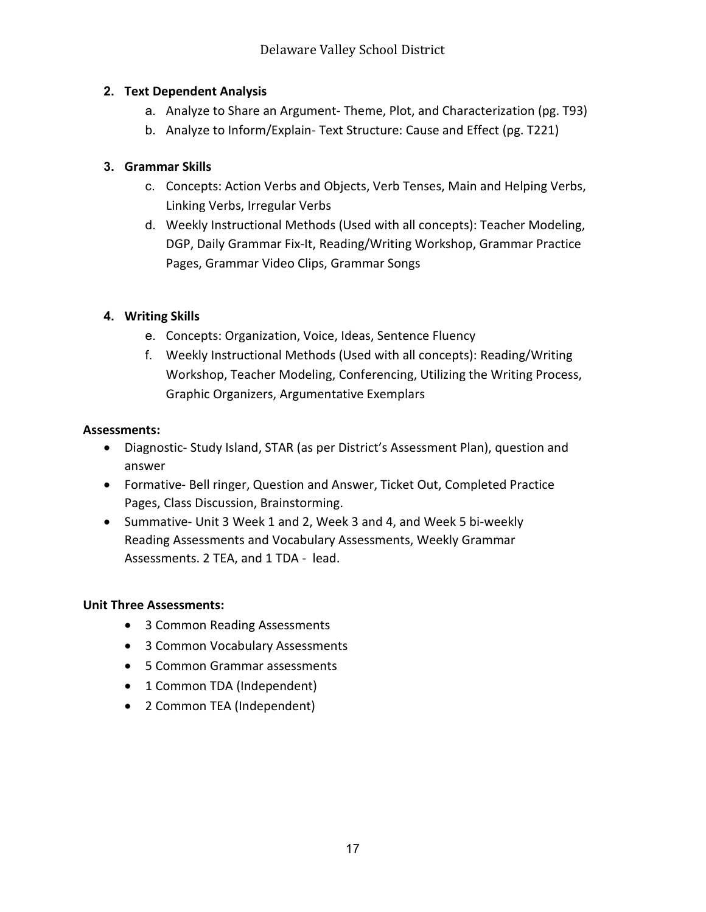## **2. Text Dependent Analysis**

- a. Analyze to Share an Argument- Theme, Plot, and Characterization (pg. T93)
- b. Analyze to Inform/Explain- Text Structure: Cause and Effect (pg. T221)

## **3. Grammar Skills**

- c. Concepts: Action Verbs and Objects, Verb Tenses, Main and Helping Verbs, Linking Verbs, Irregular Verbs
- d. Weekly Instructional Methods (Used with all concepts): Teacher Modeling, DGP, Daily Grammar Fix-It, Reading/Writing Workshop, Grammar Practice Pages, Grammar Video Clips, Grammar Songs

## **4. Writing Skills**

- e. Concepts: Organization, Voice, Ideas, Sentence Fluency
- f. Weekly Instructional Methods (Used with all concepts): Reading/Writing Workshop, Teacher Modeling, Conferencing, Utilizing the Writing Process, Graphic Organizers, Argumentative Exemplars

## **Assessments:**

- Diagnostic- Study Island, STAR (as per District's Assessment Plan), question and answer
- Formative- Bell ringer, Question and Answer, Ticket Out, Completed Practice Pages, Class Discussion, Brainstorming.
- Summative- Unit 3 Week 1 and 2, Week 3 and 4, and Week 5 bi-weekly Reading Assessments and Vocabulary Assessments, Weekly Grammar Assessments. 2 TEA, and 1 TDA - lead.

## **Unit Three Assessments:**

- 3 Common Reading Assessments
- 3 Common Vocabulary Assessments
- 5 Common Grammar assessments
- 1 Common TDA (Independent)
- 2 Common TEA (Independent)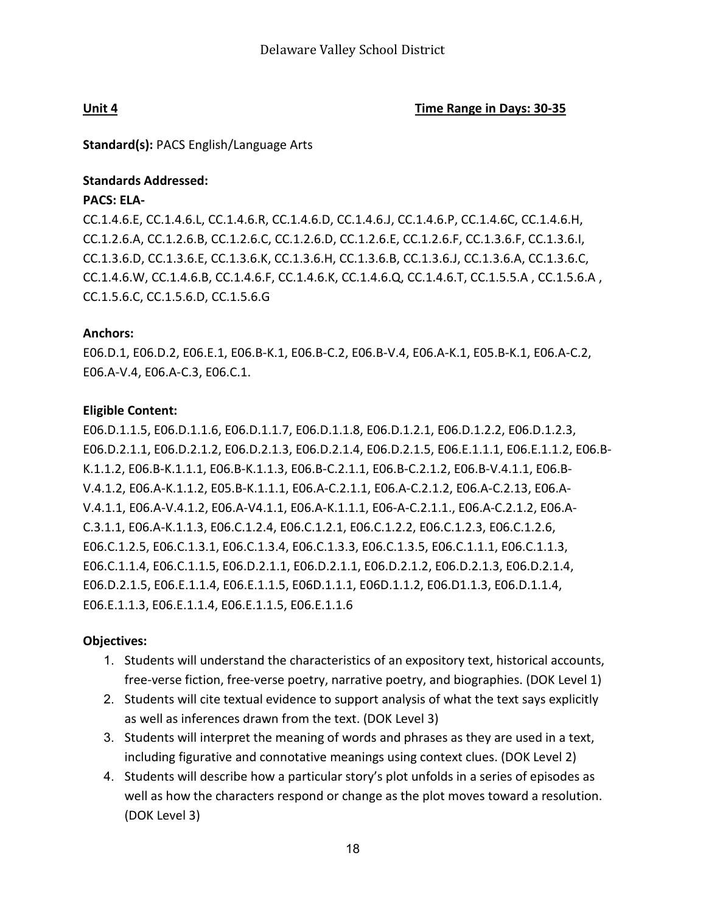**Unit 4 Time Range in Days: 30-35**

**Standard(s):** PACS English/Language Arts

#### **Standards Addressed:**

#### **PACS: ELA-**

CC.1.4.6.E, CC.1.4.6.L, CC.1.4.6.R, CC.1.4.6.D, CC.1.4.6.J, CC.1.4.6.P, CC.1.4.6C, CC.1.4.6.H, CC.1.2.6.A, CC.1.2.6.B, CC.1.2.6.C, CC.1.2.6.D, CC.1.2.6.E, CC.1.2.6.F, CC.1.3.6.F, CC.1.3.6.I, CC.1.3.6.D, CC.1.3.6.E, CC.1.3.6.K, CC.1.3.6.H, CC.1.3.6.B, CC.1.3.6.J, CC.1.3.6.A, CC.1.3.6.C, CC.1.4.6.W, CC.1.4.6.B, CC.1.4.6.F, CC.1.4.6.K, CC.1.4.6.Q, CC.1.4.6.T, CC.1.5.5.A , CC.1.5.6.A , CC.1.5.6.C, CC.1.5.6.D, CC.1.5.6.G

#### **Anchors:**

E06.D.1, E06.D.2, E06.E.1, E06.B-K.1, E06.B-C.2, E06.B-V.4, E06.A-K.1, E05.B-K.1, E06.A-C.2, E06.A-V.4, E06.A-C.3, E06.C.1.

#### **Eligible Content:**

E06.D.1.1.5, E06.D.1.1.6, E06.D.1.1.7, E06.D.1.1.8, E06.D.1.2.1, E06.D.1.2.2, E06.D.1.2.3, E06.D.2.1.1, E06.D.2.1.2, E06.D.2.1.3, E06.D.2.1.4, E06.D.2.1.5, E06.E.1.1.1, E06.E.1.1.2, E06.B-K.1.1.2, E06.B-K.1.1.1, E06.B-K.1.1.3, E06.B-C.2.1.1, E06.B-C.2.1.2, E06.B-V.4.1.1, E06.B-V.4.1.2, E06.A-K.1.1.2, E05.B-K.1.1.1, E06.A-C.2.1.1, E06.A-C.2.1.2, E06.A-C.2.13, E06.A-V.4.1.1, E06.A-V.4.1.2, E06.A-V4.1.1, E06.A-K.1.1.1, E06-A-C.2.1.1., E06.A-C.2.1.2, E06.A-C.3.1.1, E06.A-K.1.1.3, E06.C.1.2.4, E06.C.1.2.1, E06.C.1.2.2, E06.C.1.2.3, E06.C.1.2.6, E06.C.1.2.5, E06.C.1.3.1, E06.C.1.3.4, E06.C.1.3.3, E06.C.1.3.5, E06.C.1.1.1, E06.C.1.1.3, E06.C.1.1.4, E06.C.1.1.5, E06.D.2.1.1, E06.D.2.1.1, E06.D.2.1.2, E06.D.2.1.3, E06.D.2.1.4, E06.D.2.1.5, E06.E.1.1.4, E06.E.1.1.5, E06D.1.1.1, E06D.1.1.2, E06.D1.1.3, E06.D.1.1.4, E06.E.1.1.3, E06.E.1.1.4, E06.E.1.1.5, E06.E.1.1.6

#### **Objectives:**

- 1. Students will understand the characteristics of an expository text, historical accounts, free-verse fiction, free-verse poetry, narrative poetry, and biographies. (DOK Level 1)
- 2. Students will cite textual evidence to support analysis of what the text says explicitly as well as inferences drawn from the text. (DOK Level 3)
- 3. Students will interpret the meaning of words and phrases as they are used in a text, including figurative and connotative meanings using context clues. (DOK Level 2)
- 4. Students will describe how a particular story's plot unfolds in a series of episodes as well as how the characters respond or change as the plot moves toward a resolution. (DOK Level 3)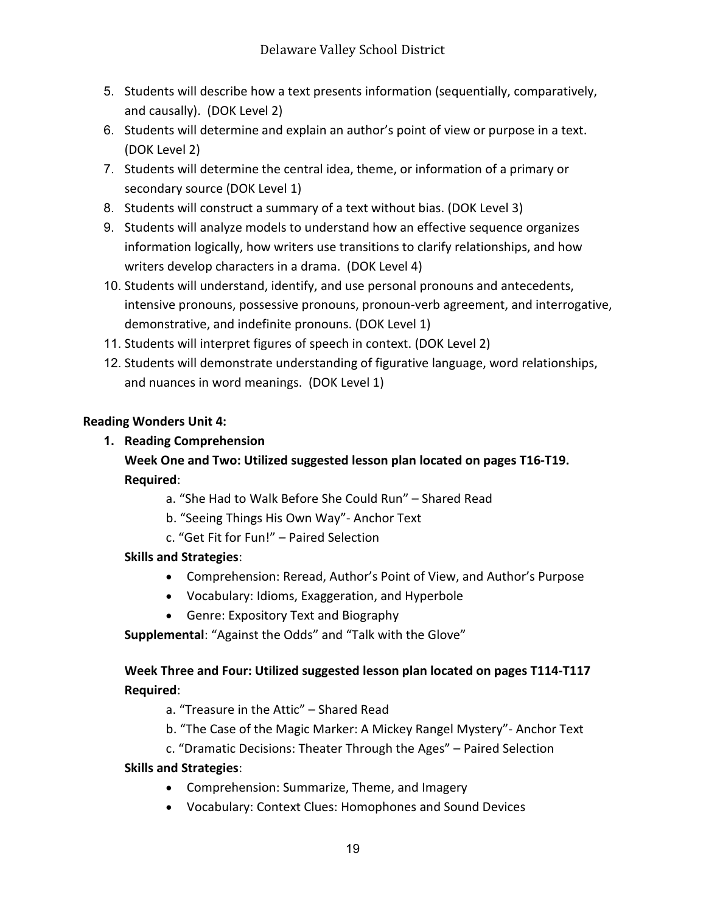- 5. Students will describe how a text presents information (sequentially, comparatively, and causally). (DOK Level 2)
- 6. Students will determine and explain an author's point of view or purpose in a text. (DOK Level 2)
- 7. Students will determine the central idea, theme, or information of a primary or secondary source (DOK Level 1)
- 8. Students will construct a summary of a text without bias. (DOK Level 3)
- 9. Students will analyze models to understand how an effective sequence organizes information logically, how writers use transitions to clarify relationships, and how writers develop characters in a drama. (DOK Level 4)
- 10. Students will understand, identify, and use personal pronouns and antecedents, intensive pronouns, possessive pronouns, pronoun-verb agreement, and interrogative, demonstrative, and indefinite pronouns. (DOK Level 1)
- 11. Students will interpret figures of speech in context. (DOK Level 2)
- 12. Students will demonstrate understanding of figurative language, word relationships, and nuances in word meanings. (DOK Level 1)

## **Reading Wonders Unit 4:**

## **1. Reading Comprehension**

## **Week One and Two: Utilized suggested lesson plan located on pages T16-T19. Required**:

- a. "She Had to Walk Before She Could Run" Shared Read
- b. "Seeing Things His Own Way"- Anchor Text
- c. "Get Fit for Fun!" Paired Selection

## **Skills and Strategies**:

- Comprehension: Reread, Author's Point of View, and Author's Purpose
- Vocabulary: Idioms, Exaggeration, and Hyperbole
- Genre: Expository Text and Biography
- **Supplemental**: "Against the Odds" and "Talk with the Glove"

## **Week Three and Four: Utilized suggested lesson plan located on pages T114-T117 Required**:

a. "Treasure in the Attic" – Shared Read

- b. "The Case of the Magic Marker: A Mickey Rangel Mystery"- Anchor Text
- c. "Dramatic Decisions: Theater Through the Ages" Paired Selection

## **Skills and Strategies**:

- Comprehension: Summarize, Theme, and Imagery
- Vocabulary: Context Clues: Homophones and Sound Devices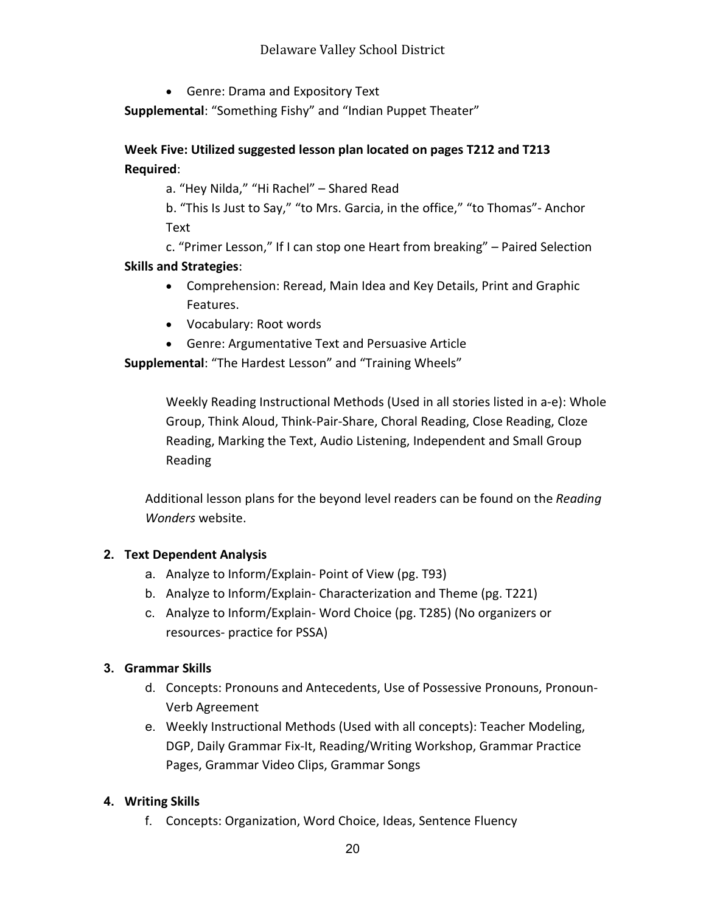## Delaware Valley School District

• Genre: Drama and Expository Text

**Supplemental**: "Something Fishy" and "Indian Puppet Theater"

## **Week Five: Utilized suggested lesson plan located on pages T212 and T213 Required**:

a. "Hey Nilda," "Hi Rachel" – Shared Read

b. "This Is Just to Say," "to Mrs. Garcia, in the office," "to Thomas"- Anchor Text

c. "Primer Lesson," If I can stop one Heart from breaking" – Paired Selection **Skills and Strategies**:

- Comprehension: Reread, Main Idea and Key Details, Print and Graphic Features.
- Vocabulary: Root words
- Genre: Argumentative Text and Persuasive Article

**Supplemental**: "The Hardest Lesson" and "Training Wheels"

Weekly Reading Instructional Methods (Used in all stories listed in a-e): Whole Group, Think Aloud, Think-Pair-Share, Choral Reading, Close Reading, Cloze Reading, Marking the Text, Audio Listening, Independent and Small Group Reading

Additional lesson plans for the beyond level readers can be found on the *Reading Wonders* website.

#### **2. Text Dependent Analysis**

- a. Analyze to Inform/Explain- Point of View (pg. T93)
- b. Analyze to Inform/Explain- Characterization and Theme (pg. T221)
- c. Analyze to Inform/Explain- Word Choice (pg. T285) (No organizers or resources- practice for PSSA)

#### **3. Grammar Skills**

- d. Concepts: Pronouns and Antecedents, Use of Possessive Pronouns, Pronoun-Verb Agreement
- e. Weekly Instructional Methods (Used with all concepts): Teacher Modeling, DGP, Daily Grammar Fix-It, Reading/Writing Workshop, Grammar Practice Pages, Grammar Video Clips, Grammar Songs

## **4. Writing Skills**

f. Concepts: Organization, Word Choice, Ideas, Sentence Fluency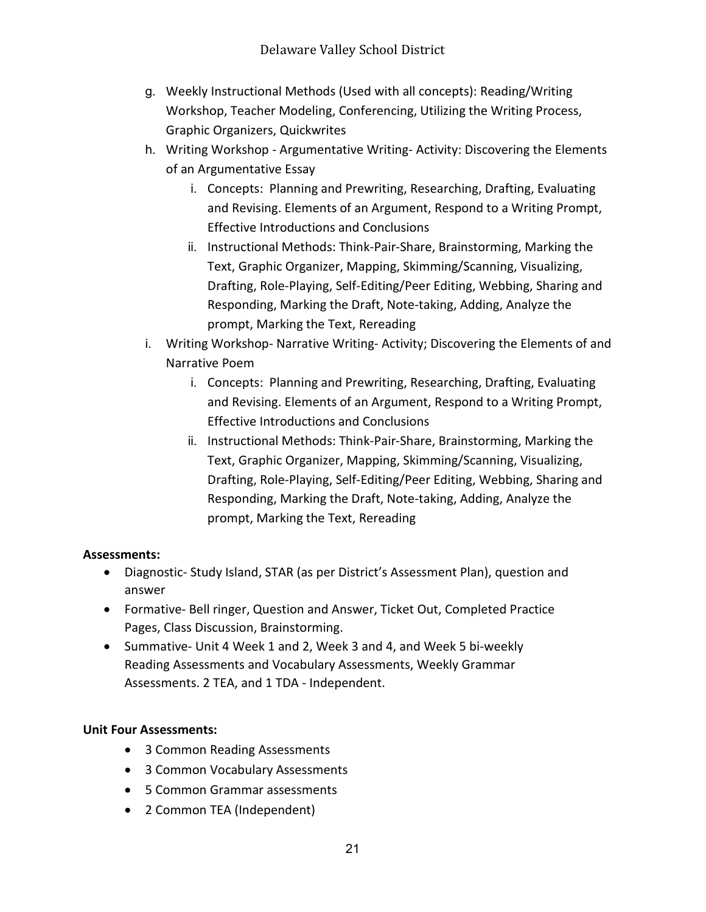- g. Weekly Instructional Methods (Used with all concepts): Reading/Writing Workshop, Teacher Modeling, Conferencing, Utilizing the Writing Process, Graphic Organizers, Quickwrites
- h. Writing Workshop Argumentative Writing- Activity: Discovering the Elements of an Argumentative Essay
	- i. Concepts: Planning and Prewriting, Researching, Drafting, Evaluating and Revising. Elements of an Argument, Respond to a Writing Prompt, Effective Introductions and Conclusions
	- ii. Instructional Methods: Think-Pair-Share, Brainstorming, Marking the Text, Graphic Organizer, Mapping, Skimming/Scanning, Visualizing, Drafting, Role-Playing, Self-Editing/Peer Editing, Webbing, Sharing and Responding, Marking the Draft, Note-taking, Adding, Analyze the prompt, Marking the Text, Rereading
- i. Writing Workshop- Narrative Writing- Activity; Discovering the Elements of and Narrative Poem
	- i. Concepts: Planning and Prewriting, Researching, Drafting, Evaluating and Revising. Elements of an Argument, Respond to a Writing Prompt, Effective Introductions and Conclusions
	- ii. Instructional Methods: Think-Pair-Share, Brainstorming, Marking the Text, Graphic Organizer, Mapping, Skimming/Scanning, Visualizing, Drafting, Role-Playing, Self-Editing/Peer Editing, Webbing, Sharing and Responding, Marking the Draft, Note-taking, Adding, Analyze the prompt, Marking the Text, Rereading

## **Assessments:**

- Diagnostic- Study Island, STAR (as per District's Assessment Plan), question and answer
- Formative- Bell ringer, Question and Answer, Ticket Out, Completed Practice Pages, Class Discussion, Brainstorming.
- Summative- Unit 4 Week 1 and 2, Week 3 and 4, and Week 5 bi-weekly Reading Assessments and Vocabulary Assessments, Weekly Grammar Assessments. 2 TEA, and 1 TDA - Independent.

## **Unit Four Assessments:**

- 3 Common Reading Assessments
- 3 Common Vocabulary Assessments
- 5 Common Grammar assessments
- 2 Common TEA (Independent)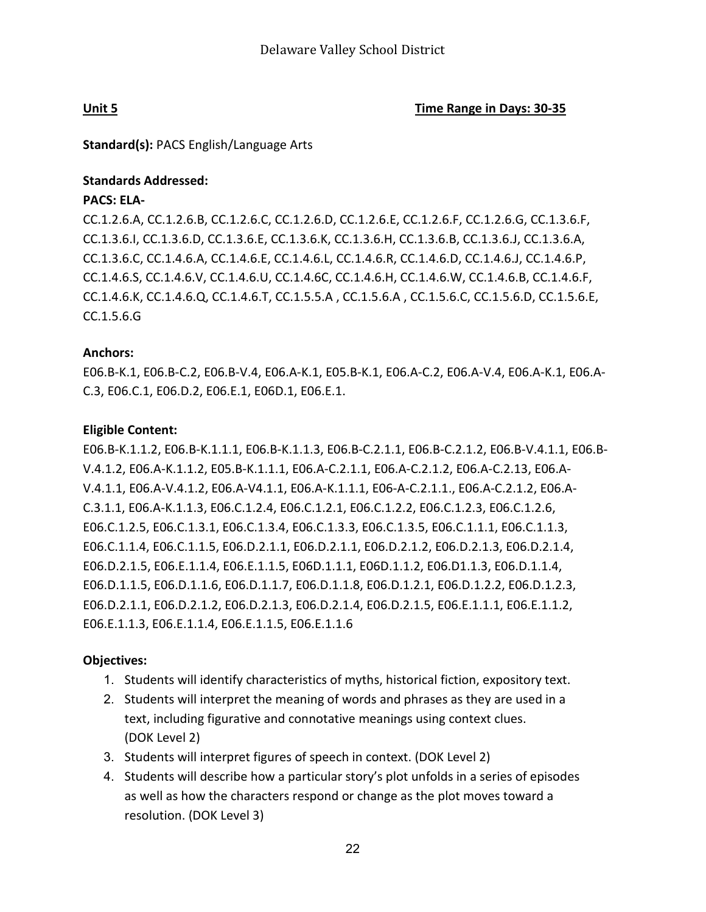**Unit 5 Time Range in Days: 30-35**

**Standard(s):** PACS English/Language Arts

#### **Standards Addressed:**

#### **PACS: ELA-**

CC.1.2.6.A, CC.1.2.6.B, CC.1.2.6.C, CC.1.2.6.D, CC.1.2.6.E, CC.1.2.6.F, CC.1.2.6.G, CC.1.3.6.F, CC.1.3.6.I, CC.1.3.6.D, CC.1.3.6.E, CC.1.3.6.K, CC.1.3.6.H, CC.1.3.6.B, CC.1.3.6.J, CC.1.3.6.A, CC.1.3.6.C, CC.1.4.6.A, CC.1.4.6.E, CC.1.4.6.L, CC.1.4.6.R, CC.1.4.6.D, CC.1.4.6.J, CC.1.4.6.P, CC.1.4.6.S, CC.1.4.6.V, CC.1.4.6.U, CC.1.4.6C, CC.1.4.6.H, CC.1.4.6.W, CC.1.4.6.B, CC.1.4.6.F, CC.1.4.6.K, CC.1.4.6.Q, CC.1.4.6.T, CC.1.5.5.A , CC.1.5.6.A , CC.1.5.6.C, CC.1.5.6.D, CC.1.5.6.E, CC.1.5.6.G

#### **Anchors:**

E06.B-K.1, E06.B-C.2, E06.B-V.4, E06.A-K.1, E05.B-K.1, E06.A-C.2, E06.A-V.4, E06.A-K.1, E06.A-C.3, E06.C.1, E06.D.2, E06.E.1, E06D.1, E06.E.1.

#### **Eligible Content:**

E06.B-K.1.1.2, E06.B-K.1.1.1, E06.B-K.1.1.3, E06.B-C.2.1.1, E06.B-C.2.1.2, E06.B-V.4.1.1, E06.B-V.4.1.2, E06.A-K.1.1.2, E05.B-K.1.1.1, E06.A-C.2.1.1, E06.A-C.2.1.2, E06.A-C.2.13, E06.A-V.4.1.1, E06.A-V.4.1.2, E06.A-V4.1.1, E06.A-K.1.1.1, E06-A-C.2.1.1., E06.A-C.2.1.2, E06.A-C.3.1.1, E06.A-K.1.1.3, E06.C.1.2.4, E06.C.1.2.1, E06.C.1.2.2, E06.C.1.2.3, E06.C.1.2.6, E06.C.1.2.5, E06.C.1.3.1, E06.C.1.3.4, E06.C.1.3.3, E06.C.1.3.5, E06.C.1.1.1, E06.C.1.1.3, E06.C.1.1.4, E06.C.1.1.5, E06.D.2.1.1, E06.D.2.1.1, E06.D.2.1.2, E06.D.2.1.3, E06.D.2.1.4, E06.D.2.1.5, E06.E.1.1.4, E06.E.1.1.5, E06D.1.1.1, E06D.1.1.2, E06.D1.1.3, E06.D.1.1.4, E06.D.1.1.5, E06.D.1.1.6, E06.D.1.1.7, E06.D.1.1.8, E06.D.1.2.1, E06.D.1.2.2, E06.D.1.2.3, E06.D.2.1.1, E06.D.2.1.2, E06.D.2.1.3, E06.D.2.1.4, E06.D.2.1.5, E06.E.1.1.1, E06.E.1.1.2, E06.E.1.1.3, E06.E.1.1.4, E06.E.1.1.5, E06.E.1.1.6

#### **Objectives:**

- 1. Students will identify characteristics of myths, historical fiction, expository text.
- 2. Students will interpret the meaning of words and phrases as they are used in a text, including figurative and connotative meanings using context clues. (DOK Level 2)
- 3. Students will interpret figures of speech in context. (DOK Level 2)
- 4. Students will describe how a particular story's plot unfolds in a series of episodes as well as how the characters respond or change as the plot moves toward a resolution. (DOK Level 3)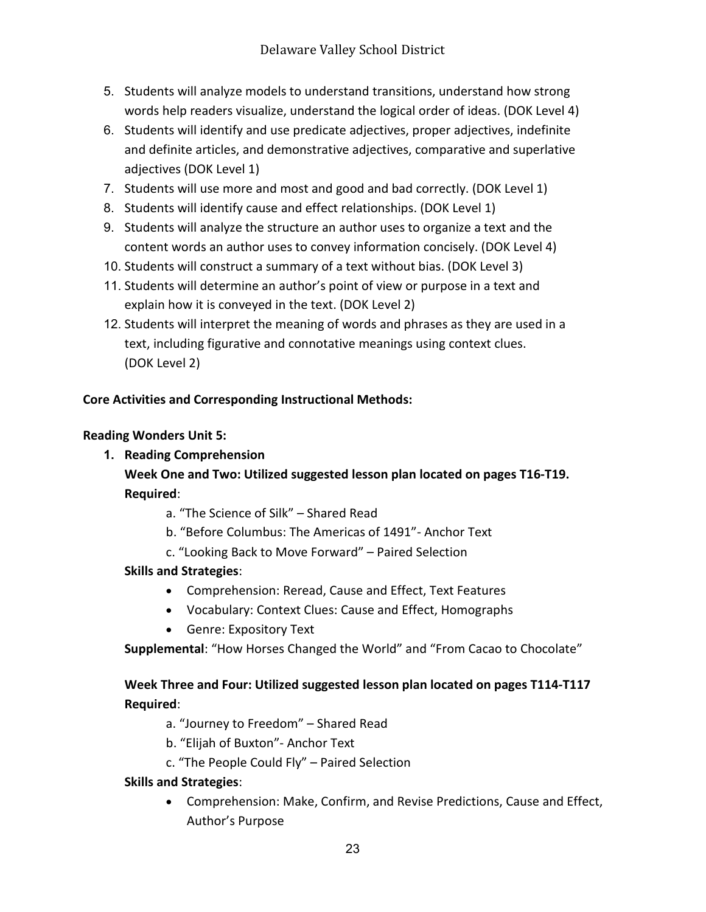- 5. Students will analyze models to understand transitions, understand how strong words help readers visualize, understand the logical order of ideas. (DOK Level 4)
- 6. Students will identify and use predicate adjectives, proper adjectives, indefinite and definite articles, and demonstrative adjectives, comparative and superlative adjectives (DOK Level 1)
- 7. Students will use more and most and good and bad correctly. (DOK Level 1)
- 8. Students will identify cause and effect relationships. (DOK Level 1)
- 9. Students will analyze the structure an author uses to organize a text and the content words an author uses to convey information concisely. (DOK Level 4)
- 10. Students will construct a summary of a text without bias. (DOK Level 3)
- 11. Students will determine an author's point of view or purpose in a text and explain how it is conveyed in the text. (DOK Level 2)
- 12. Students will interpret the meaning of words and phrases as they are used in a text, including figurative and connotative meanings using context clues. (DOK Level 2)

#### **Core Activities and Corresponding Instructional Methods:**

#### **Reading Wonders Unit 5:**

#### **1. Reading Comprehension**

## **Week One and Two: Utilized suggested lesson plan located on pages T16-T19. Required**:

- a. "The Science of Silk" Shared Read
- b. "Before Columbus: The Americas of 1491"- Anchor Text
- c. "Looking Back to Move Forward" Paired Selection

#### **Skills and Strategies**:

- Comprehension: Reread, Cause and Effect, Text Features
- Vocabulary: Context Clues: Cause and Effect, Homographs
- Genre: Expository Text
- **Supplemental**: "How Horses Changed the World" and "From Cacao to Chocolate"

## **Week Three and Four: Utilized suggested lesson plan located on pages T114-T117 Required**:

- a. "Journey to Freedom" Shared Read
- b. "Elijah of Buxton"- Anchor Text
- c. "The People Could Fly" Paired Selection

#### **Skills and Strategies**:

• Comprehension: Make, Confirm, and Revise Predictions, Cause and Effect, Author's Purpose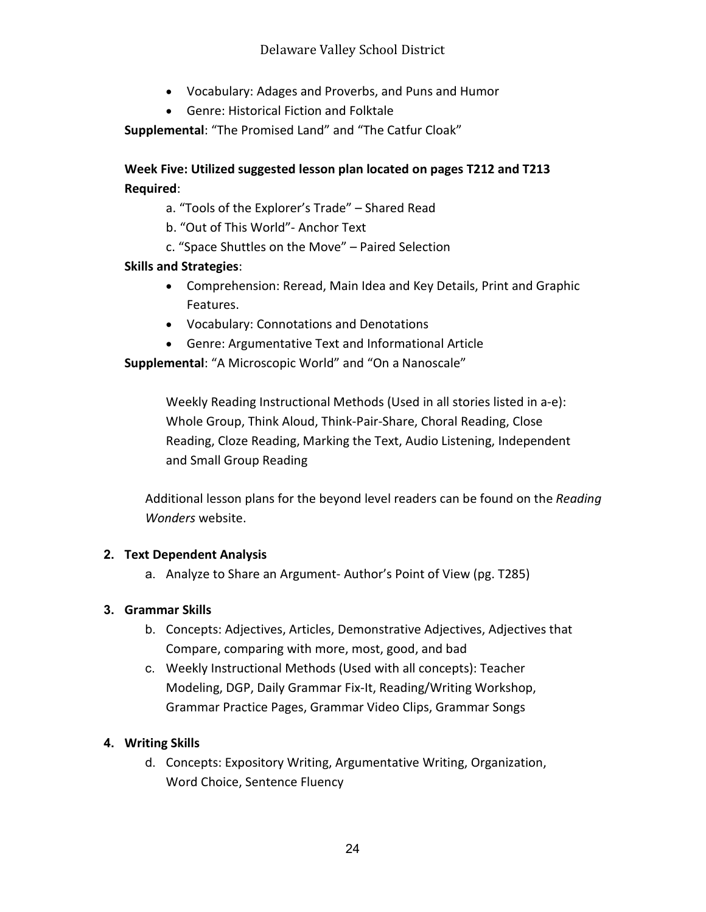## Delaware Valley School District

- Vocabulary: Adages and Proverbs, and Puns and Humor
- Genre: Historical Fiction and Folktale

**Supplemental**: "The Promised Land" and "The Catfur Cloak"

**Week Five: Utilized suggested lesson plan located on pages T212 and T213 Required**:

a. "Tools of the Explorer's Trade" – Shared Read

b. "Out of This World"- Anchor Text

c. "Space Shuttles on the Move" – Paired Selection

#### **Skills and Strategies**:

- Comprehension: Reread, Main Idea and Key Details, Print and Graphic Features.
- Vocabulary: Connotations and Denotations
- Genre: Argumentative Text and Informational Article

**Supplemental**: "A Microscopic World" and "On a Nanoscale"

Weekly Reading Instructional Methods (Used in all stories listed in a-e): Whole Group, Think Aloud, Think-Pair-Share, Choral Reading, Close Reading, Cloze Reading, Marking the Text, Audio Listening, Independent and Small Group Reading

Additional lesson plans for the beyond level readers can be found on the *Reading Wonders* website.

#### **2. Text Dependent Analysis**

a. Analyze to Share an Argument- Author's Point of View (pg. T285)

#### **3. Grammar Skills**

- b. Concepts: Adjectives, Articles, Demonstrative Adjectives, Adjectives that Compare, comparing with more, most, good, and bad
- c. Weekly Instructional Methods (Used with all concepts): Teacher Modeling, DGP, Daily Grammar Fix-It, Reading/Writing Workshop, Grammar Practice Pages, Grammar Video Clips, Grammar Songs

#### **4. Writing Skills**

d. Concepts: Expository Writing, Argumentative Writing, Organization, Word Choice, Sentence Fluency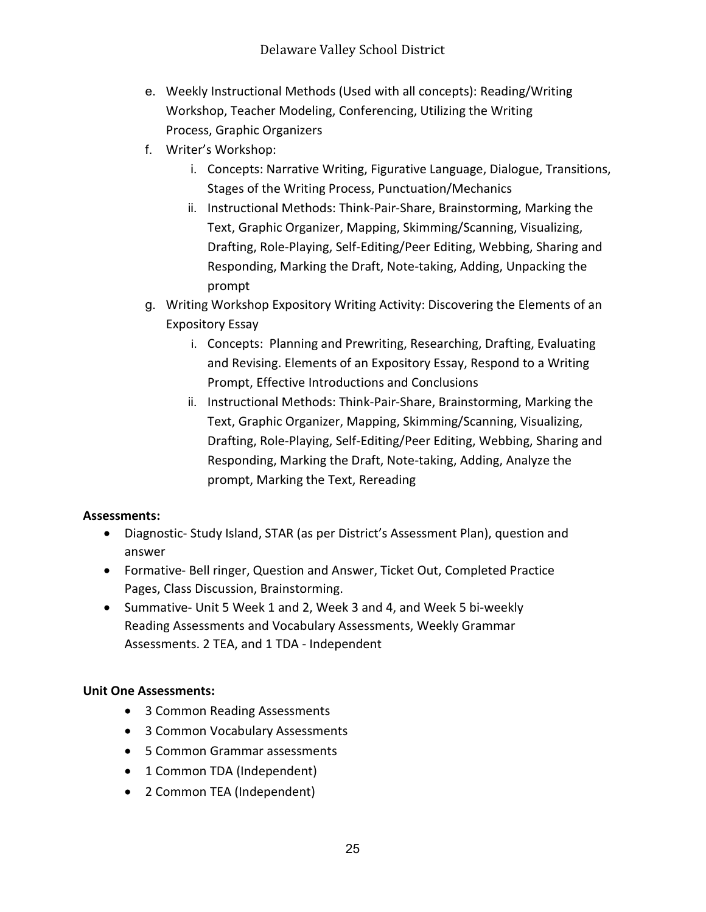- e. Weekly Instructional Methods (Used with all concepts): Reading/Writing Workshop, Teacher Modeling, Conferencing, Utilizing the Writing Process, Graphic Organizers
- f. Writer's Workshop:
	- i. Concepts: Narrative Writing, Figurative Language, Dialogue, Transitions, Stages of the Writing Process, Punctuation/Mechanics
	- ii. Instructional Methods: Think-Pair-Share, Brainstorming, Marking the Text, Graphic Organizer, Mapping, Skimming/Scanning, Visualizing, Drafting, Role-Playing, Self-Editing/Peer Editing, Webbing, Sharing and Responding, Marking the Draft, Note-taking, Adding, Unpacking the prompt
- g. Writing Workshop Expository Writing Activity: Discovering the Elements of an Expository Essay
	- i. Concepts: Planning and Prewriting, Researching, Drafting, Evaluating and Revising. Elements of an Expository Essay, Respond to a Writing Prompt, Effective Introductions and Conclusions
	- ii. Instructional Methods: Think-Pair-Share, Brainstorming, Marking the Text, Graphic Organizer, Mapping, Skimming/Scanning, Visualizing, Drafting, Role-Playing, Self-Editing/Peer Editing, Webbing, Sharing and Responding, Marking the Draft, Note-taking, Adding, Analyze the prompt, Marking the Text, Rereading

## **Assessments:**

- Diagnostic- Study Island, STAR (as per District's Assessment Plan), question and answer
- Formative- Bell ringer, Question and Answer, Ticket Out, Completed Practice Pages, Class Discussion, Brainstorming.
- Summative- Unit 5 Week 1 and 2, Week 3 and 4, and Week 5 bi-weekly Reading Assessments and Vocabulary Assessments, Weekly Grammar Assessments. 2 TEA, and 1 TDA - Independent

## **Unit One Assessments:**

- 3 Common Reading Assessments
- 3 Common Vocabulary Assessments
- 5 Common Grammar assessments
- 1 Common TDA (Independent)
- 2 Common TEA (Independent)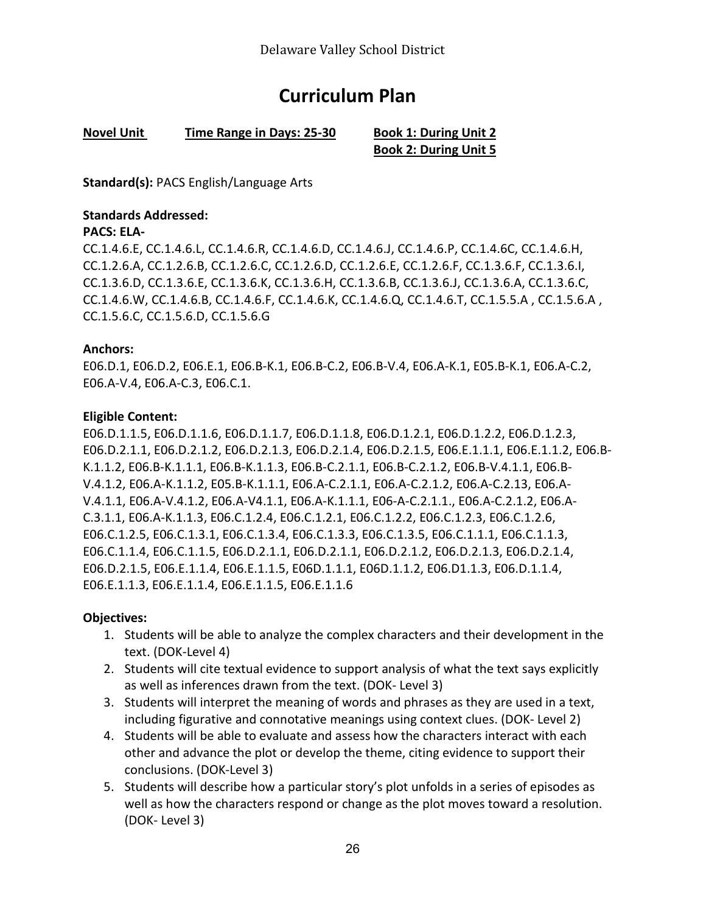# **Curriculum Plan**

#### **Novel Unit Time Range in Days: 25-30 Book 1: During Unit 2**

**Book 2: During Unit 5**

**Standard(s):** PACS English/Language Arts

#### **Standards Addressed:**

#### **PACS: ELA-**

CC.1.4.6.E, CC.1.4.6.L, CC.1.4.6.R, CC.1.4.6.D, CC.1.4.6.J, CC.1.4.6.P, CC.1.4.6C, CC.1.4.6.H, CC.1.2.6.A, CC.1.2.6.B, CC.1.2.6.C, CC.1.2.6.D, CC.1.2.6.E, CC.1.2.6.F, CC.1.3.6.F, CC.1.3.6.I, CC.1.3.6.D, CC.1.3.6.E, CC.1.3.6.K, CC.1.3.6.H, CC.1.3.6.B, CC.1.3.6.J, CC.1.3.6.A, CC.1.3.6.C, CC.1.4.6.W, CC.1.4.6.B, CC.1.4.6.F, CC.1.4.6.K, CC.1.4.6.Q, CC.1.4.6.T, CC.1.5.5.A , CC.1.5.6.A , CC.1.5.6.C, CC.1.5.6.D, CC.1.5.6.G

#### **Anchors:**

E06.D.1, E06.D.2, E06.E.1, E06.B-K.1, E06.B-C.2, E06.B-V.4, E06.A-K.1, E05.B-K.1, E06.A-C.2, E06.A-V.4, E06.A-C.3, E06.C.1.

#### **Eligible Content:**

E06.D.1.1.5, E06.D.1.1.6, E06.D.1.1.7, E06.D.1.1.8, E06.D.1.2.1, E06.D.1.2.2, E06.D.1.2.3, E06.D.2.1.1, E06.D.2.1.2, E06.D.2.1.3, E06.D.2.1.4, E06.D.2.1.5, E06.E.1.1.1, E06.E.1.1.2, E06.B-K.1.1.2, E06.B-K.1.1.1, E06.B-K.1.1.3, E06.B-C.2.1.1, E06.B-C.2.1.2, E06.B-V.4.1.1, E06.B-V.4.1.2, E06.A-K.1.1.2, E05.B-K.1.1.1, E06.A-C.2.1.1, E06.A-C.2.1.2, E06.A-C.2.13, E06.A-V.4.1.1, E06.A-V.4.1.2, E06.A-V4.1.1, E06.A-K.1.1.1, E06-A-C.2.1.1., E06.A-C.2.1.2, E06.A-C.3.1.1, E06.A-K.1.1.3, E06.C.1.2.4, E06.C.1.2.1, E06.C.1.2.2, E06.C.1.2.3, E06.C.1.2.6, E06.C.1.2.5, E06.C.1.3.1, E06.C.1.3.4, E06.C.1.3.3, E06.C.1.3.5, E06.C.1.1.1, E06.C.1.1.3, E06.C.1.1.4, E06.C.1.1.5, E06.D.2.1.1, E06.D.2.1.1, E06.D.2.1.2, E06.D.2.1.3, E06.D.2.1.4, E06.D.2.1.5, E06.E.1.1.4, E06.E.1.1.5, E06D.1.1.1, E06D.1.1.2, E06.D1.1.3, E06.D.1.1.4, E06.E.1.1.3, E06.E.1.1.4, E06.E.1.1.5, E06.E.1.1.6

#### **Objectives:**

- 1. Students will be able to analyze the complex characters and their development in the text. (DOK-Level 4)
- 2. Students will cite textual evidence to support analysis of what the text says explicitly as well as inferences drawn from the text. (DOK- Level 3)
- 3. Students will interpret the meaning of words and phrases as they are used in a text, including figurative and connotative meanings using context clues. (DOK- Level 2)
- 4. Students will be able to evaluate and assess how the characters interact with each other and advance the plot or develop the theme, citing evidence to support their conclusions. (DOK-Level 3)
- 5. Students will describe how a particular story's plot unfolds in a series of episodes as well as how the characters respond or change as the plot moves toward a resolution. (DOK- Level 3)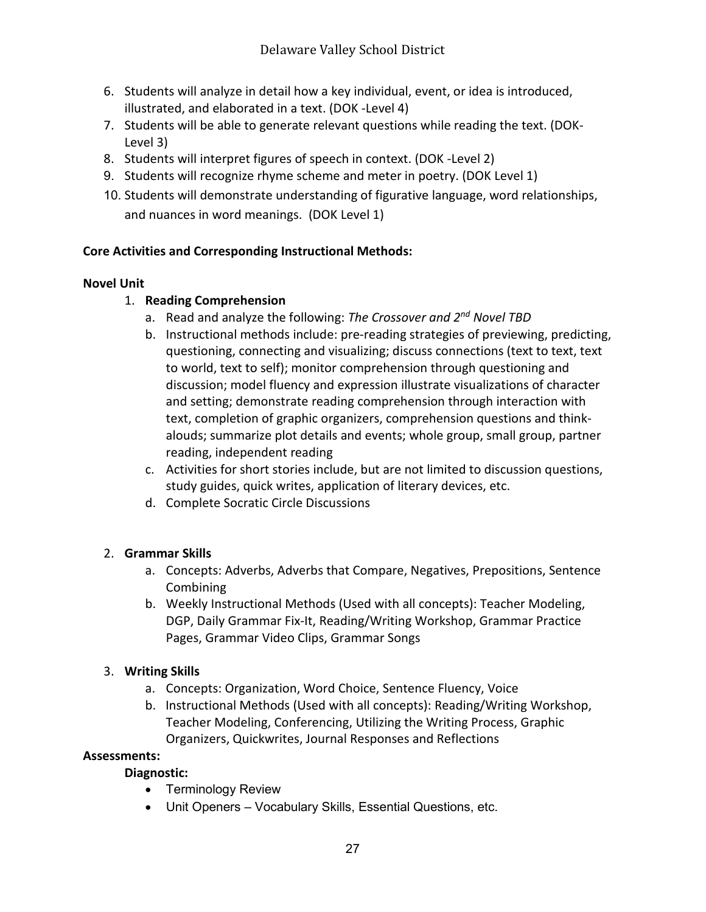- 6. Students will analyze in detail how a key individual, event, or idea is introduced, illustrated, and elaborated in a text. (DOK -Level 4)
- 7. Students will be able to generate relevant questions while reading the text. (DOK-Level 3)
- 8. Students will interpret figures of speech in context. (DOK -Level 2)
- 9. Students will recognize rhyme scheme and meter in poetry. (DOK Level 1)
- 10. Students will demonstrate understanding of figurative language, word relationships, and nuances in word meanings. (DOK Level 1)

## **Core Activities and Corresponding Instructional Methods:**

#### **Novel Unit**

## 1. **Reading Comprehension**

- a. Read and analyze the following: *The Crossover and 2nd Novel TBD*
- b. Instructional methods include: pre-reading strategies of previewing, predicting, questioning, connecting and visualizing; discuss connections (text to text, text to world, text to self); monitor comprehension through questioning and discussion; model fluency and expression illustrate visualizations of character and setting; demonstrate reading comprehension through interaction with text, completion of graphic organizers, comprehension questions and thinkalouds; summarize plot details and events; whole group, small group, partner reading, independent reading
- c. Activities for short stories include, but are not limited to discussion questions, study guides, quick writes, application of literary devices, etc.
- d. Complete Socratic Circle Discussions

## 2. **Grammar Skills**

- a. Concepts: Adverbs, Adverbs that Compare, Negatives, Prepositions, Sentence Combining
- b. Weekly Instructional Methods (Used with all concepts): Teacher Modeling, DGP, Daily Grammar Fix-It, Reading/Writing Workshop, Grammar Practice Pages, Grammar Video Clips, Grammar Songs

## 3. **Writing Skills**

- a. Concepts: Organization, Word Choice, Sentence Fluency, Voice
- b. Instructional Methods (Used with all concepts): Reading/Writing Workshop, Teacher Modeling, Conferencing, Utilizing the Writing Process, Graphic Organizers, Quickwrites, Journal Responses and Reflections

#### **Assessments:**

## **Diagnostic:**

- Terminology Review
- Unit Openers Vocabulary Skills, Essential Questions, etc.